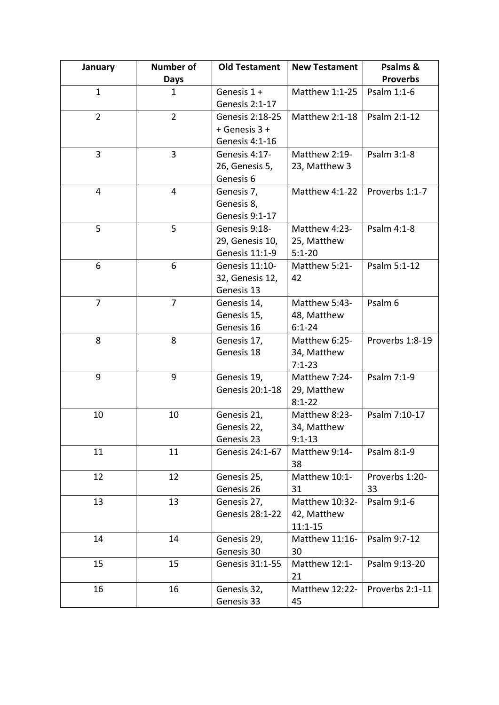| January        | <b>Number of</b> | <b>Old Testament</b>   | <b>New Testament</b>  | Psalms &        |
|----------------|------------------|------------------------|-----------------------|-----------------|
|                | <b>Days</b>      |                        |                       | <b>Proverbs</b> |
| $\mathbf{1}$   | $\mathbf{1}$     | Genesis 1 +            | Matthew 1:1-25        | Psalm 1:1-6     |
|                |                  | Genesis 2:1-17         |                       |                 |
| $\overline{2}$ | $\overline{2}$   | Genesis 2:18-25        | Matthew 2:1-18        | Psalm 2:1-12    |
|                |                  | + Genesis 3 +          |                       |                 |
|                |                  | Genesis 4:1-16         |                       |                 |
| 3              | 3                | Genesis 4:17-          | Matthew 2:19-         | Psalm 3:1-8     |
|                |                  | 26, Genesis 5,         | 23, Matthew 3         |                 |
|                |                  | Genesis 6              |                       |                 |
| 4              | 4                | Genesis 7,             | Matthew 4:1-22        | Proverbs 1:1-7  |
|                |                  | Genesis 8,             |                       |                 |
|                |                  | Genesis 9:1-17         |                       |                 |
| 5              | 5                | Genesis 9:18-          | Matthew 4:23-         | Psalm 4:1-8     |
|                |                  | 29, Genesis 10,        | 25, Matthew           |                 |
|                |                  | Genesis 11:1-9         | $5:1 - 20$            |                 |
| 6              | 6                | Genesis 11:10-         | Matthew 5:21-         | Psalm 5:1-12    |
|                |                  | 32, Genesis 12,        | 42                    |                 |
|                |                  | Genesis 13             |                       |                 |
| $\overline{7}$ | $\overline{7}$   | Genesis 14,            | Matthew 5:43-         | Psalm 6         |
|                |                  | Genesis 15,            | 48, Matthew           |                 |
|                |                  | Genesis 16             | $6:1 - 24$            |                 |
| 8              | 8                | Genesis 17,            | Matthew 6:25-         | Proverbs 1:8-19 |
|                |                  | Genesis 18             | 34, Matthew           |                 |
|                |                  |                        | $7:1-23$              |                 |
| 9              | 9                | Genesis 19,            | Matthew 7:24-         | Psalm 7:1-9     |
|                |                  | Genesis 20:1-18        | 29, Matthew           |                 |
|                |                  |                        | $8:1 - 22$            |                 |
| 10             | 10               | Genesis 21,            | Matthew 8:23-         | Psalm 7:10-17   |
|                |                  | Genesis 22,            | 34, Matthew           |                 |
|                |                  | Genesis 23             | $9:1 - 13$            |                 |
| 11             | 11               | Genesis 24:1-67        | Matthew 9:14-         | Psalm 8:1-9     |
|                |                  |                        | 38                    |                 |
| 12             | 12               | Genesis 25,            | Matthew 10:1-         | Proverbs 1:20-  |
|                |                  | Genesis 26             | 31                    | 33              |
| 13             | 13               | Genesis 27,            | Matthew 10:32-        | Psalm 9:1-6     |
|                |                  | <b>Genesis 28:1-22</b> | 42, Matthew           |                 |
|                |                  |                        | $11:1 - 15$           |                 |
| 14             | 14               | Genesis 29,            | Matthew 11:16-        | Psalm 9:7-12    |
|                |                  | Genesis 30             | 30                    |                 |
| 15             | 15               | Genesis 31:1-55        | Matthew 12:1-         | Psalm 9:13-20   |
|                |                  |                        | 21                    |                 |
| 16             | 16               | Genesis 32,            | <b>Matthew 12:22-</b> | Proverbs 2:1-11 |
|                |                  | Genesis 33             | 45                    |                 |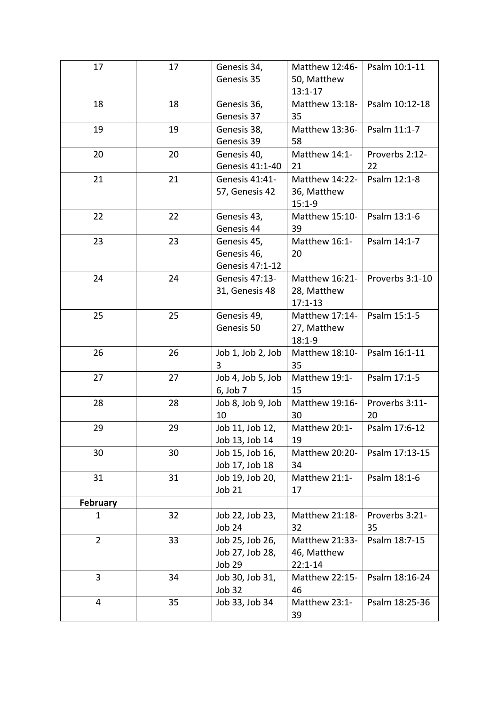| 17              | 17 | Genesis 34,       | Matthew 12:46-        | Psalm 10:1-11   |
|-----------------|----|-------------------|-----------------------|-----------------|
|                 |    | Genesis 35        | 50, Matthew           |                 |
|                 |    |                   | $13:1 - 17$           |                 |
| 18              | 18 | Genesis 36,       | Matthew 13:18-        | Psalm 10:12-18  |
|                 |    | Genesis 37        | 35                    |                 |
| 19              | 19 | Genesis 38,       | Matthew 13:36-        | Psalm 11:1-7    |
|                 |    | Genesis 39        | 58                    |                 |
| 20              | 20 | Genesis 40,       | Matthew 14:1-         | Proverbs 2:12-  |
|                 |    | Genesis 41:1-40   | 21                    | 22              |
| 21              | 21 | Genesis 41:41-    | Matthew 14:22-        | Psalm 12:1-8    |
|                 |    | 57, Genesis 42    | 36, Matthew           |                 |
|                 |    |                   | $15:1-9$              |                 |
| 22              | 22 | Genesis 43,       | Matthew 15:10-        | Psalm 13:1-6    |
|                 |    | Genesis 44        | 39                    |                 |
| 23              | 23 | Genesis 45,       | Matthew 16:1-         | Psalm 14:1-7    |
|                 |    | Genesis 46,       | 20                    |                 |
|                 |    | Genesis 47:1-12   |                       |                 |
| 24              | 24 | Genesis 47:13-    | Matthew 16:21-        | Proverbs 3:1-10 |
|                 |    | 31, Genesis 48    | 28, Matthew           |                 |
|                 |    |                   | $17:1 - 13$           |                 |
| 25              | 25 | Genesis 49,       | Matthew 17:14-        | Psalm 15:1-5    |
|                 |    | Genesis 50        | 27, Matthew           |                 |
|                 |    |                   | $18:1 - 9$            |                 |
| 26              | 26 | Job 1, Job 2, Job | Matthew 18:10-        | Psalm 16:1-11   |
|                 |    | 3                 | 35                    |                 |
| 27              | 27 | Job 4, Job 5, Job | Matthew 19:1-         | Psalm 17:1-5    |
|                 |    | 6, Job 7          | 15                    |                 |
| 28              | 28 | Job 8, Job 9, Job | Matthew 19:16-        | Proverbs 3:11-  |
|                 |    | 10                | 30                    | 20              |
| 29              | 29 | Job 11, Job 12,   | Matthew 20:1-         | Psalm 17:6-12   |
|                 |    | Job 13, Job 14    | 19                    |                 |
| 30              | 30 | Job 15, Job 16,   | <b>Matthew 20:20-</b> | Psalm 17:13-15  |
|                 |    | Job 17, Job 18    | 34                    |                 |
| 31              | 31 | Job 19, Job 20,   | Matthew 21:1-         | Psalm 18:1-6    |
|                 |    | Job 21            | 17                    |                 |
| <b>February</b> |    |                   |                       |                 |
| $\mathbf{1}$    | 32 | Job 22, Job 23,   | Matthew 21:18-        | Proverbs 3:21-  |
|                 |    | Job 24            | 32                    | 35              |
| $\overline{2}$  | 33 | Job 25, Job 26,   | Matthew 21:33-        | Psalm 18:7-15   |
|                 |    | Job 27, Job 28,   | 46, Matthew           |                 |
|                 |    | Job 29            | $22:1 - 14$           |                 |
| 3               | 34 | Job 30, Job 31,   | Matthew 22:15-        | Psalm 18:16-24  |
|                 |    | <b>Job 32</b>     | 46                    |                 |
| 4               | 35 | Job 33, Job 34    | Matthew 23:1-         | Psalm 18:25-36  |
|                 |    |                   | 39                    |                 |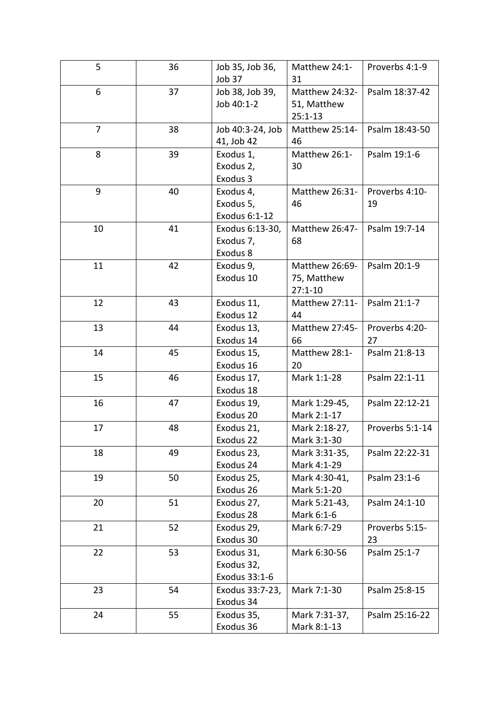| 5              | 36 | Job 35, Job 36,  | Matthew 24:1-  | Proverbs 4:1-9  |
|----------------|----|------------------|----------------|-----------------|
|                |    | Job 37           | 31             |                 |
| 6              | 37 | Job 38, Job 39,  | Matthew 24:32- | Psalm 18:37-42  |
|                |    | Job 40:1-2       | 51, Matthew    |                 |
|                |    |                  | $25:1 - 13$    |                 |
| $\overline{7}$ | 38 | Job 40:3-24, Job | Matthew 25:14- | Psalm 18:43-50  |
|                |    | 41, Job 42       | 46             |                 |
| 8              | 39 | Exodus 1,        | Matthew 26:1-  | Psalm 19:1-6    |
|                |    | Exodus 2,        | 30             |                 |
|                |    | Exodus 3         |                |                 |
| 9              | 40 | Exodus 4,        | Matthew 26:31- | Proverbs 4:10-  |
|                |    | Exodus 5,        | 46             | 19              |
|                |    | Exodus 6:1-12    |                |                 |
| 10             | 41 | Exodus 6:13-30,  | Matthew 26:47- | Psalm 19:7-14   |
|                |    | Exodus 7,        | 68             |                 |
|                |    | Exodus 8         |                |                 |
| 11             | 42 | Exodus 9,        | Matthew 26:69- | Psalm 20:1-9    |
|                |    | Exodus 10        | 75, Matthew    |                 |
|                |    |                  | $27:1 - 10$    |                 |
| 12             | 43 | Exodus 11,       | Matthew 27:11- | Psalm 21:1-7    |
|                |    | Exodus 12        | 44             |                 |
| 13             | 44 | Exodus 13,       | Matthew 27:45- | Proverbs 4:20-  |
|                |    | Exodus 14        | 66             | 27              |
| 14             | 45 | Exodus 15,       | Matthew 28:1-  | Psalm 21:8-13   |
|                |    | Exodus 16        | 20             |                 |
| 15             | 46 | Exodus 17,       | Mark 1:1-28    | Psalm 22:1-11   |
|                |    | Exodus 18        |                |                 |
| 16             | 47 | Exodus 19,       | Mark 1:29-45,  | Psalm 22:12-21  |
|                |    | Exodus 20        | Mark 2:1-17    |                 |
| 17             | 48 | Exodus 21,       | Mark 2:18-27,  | Proverbs 5:1-14 |
|                |    | Exodus 22        | Mark 3:1-30    |                 |
| 18             | 49 | Exodus 23,       | Mark 3:31-35,  | Psalm 22:22-31  |
|                |    | Exodus 24        | Mark 4:1-29    |                 |
| 19             | 50 | Exodus 25,       | Mark 4:30-41,  | Psalm 23:1-6    |
|                |    | Exodus 26        | Mark 5:1-20    |                 |
| 20             | 51 | Exodus 27,       | Mark 5:21-43,  | Psalm 24:1-10   |
|                |    | Exodus 28        | Mark 6:1-6     |                 |
| 21             | 52 | Exodus 29,       | Mark 6:7-29    | Proverbs 5:15-  |
|                |    | Exodus 30        |                | 23              |
| 22             | 53 | Exodus 31,       | Mark 6:30-56   | Psalm 25:1-7    |
|                |    | Exodus 32,       |                |                 |
|                |    | Exodus 33:1-6    |                |                 |
| 23             | 54 | Exodus 33:7-23,  | Mark 7:1-30    | Psalm 25:8-15   |
|                |    | Exodus 34        |                |                 |
| 24             | 55 | Exodus 35,       | Mark 7:31-37,  | Psalm 25:16-22  |
|                |    | Exodus 36        | Mark 8:1-13    |                 |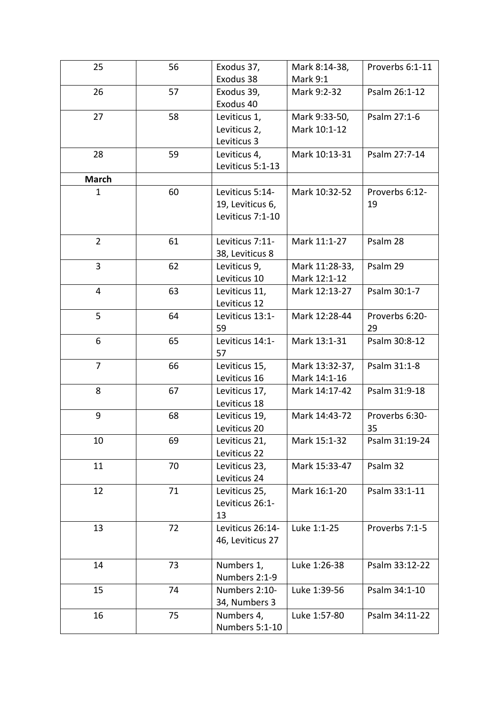| 25             | 56 | Exodus 37,       | Mark 8:14-38,   | Proverbs 6:1-11 |
|----------------|----|------------------|-----------------|-----------------|
|                |    | Exodus 38        | <b>Mark 9:1</b> |                 |
| 26             | 57 | Exodus 39,       | Mark 9:2-32     | Psalm 26:1-12   |
|                |    | Exodus 40        |                 |                 |
| 27             | 58 | Leviticus 1,     | Mark 9:33-50,   | Psalm 27:1-6    |
|                |    | Leviticus 2,     | Mark 10:1-12    |                 |
|                |    | Leviticus 3      |                 |                 |
| 28             | 59 | Leviticus 4,     | Mark 10:13-31   | Psalm 27:7-14   |
|                |    | Leviticus 5:1-13 |                 |                 |
| <b>March</b>   |    |                  |                 |                 |
| $\mathbf{1}$   | 60 | Leviticus 5:14-  | Mark 10:32-52   | Proverbs 6:12-  |
|                |    | 19, Leviticus 6, |                 | 19              |
|                |    | Leviticus 7:1-10 |                 |                 |
|                |    |                  |                 |                 |
| $\overline{2}$ | 61 | Leviticus 7:11-  | Mark 11:1-27    | Psalm 28        |
|                |    | 38, Leviticus 8  |                 |                 |
| $\overline{3}$ | 62 | Leviticus 9,     | Mark 11:28-33,  | Psalm 29        |
|                |    | Leviticus 10     | Mark 12:1-12    |                 |
| 4              | 63 | Leviticus 11,    | Mark 12:13-27   | Psalm 30:1-7    |
|                |    | Leviticus 12     |                 |                 |
| 5              | 64 | Leviticus 13:1-  | Mark 12:28-44   | Proverbs 6:20-  |
|                |    | 59               |                 | 29              |
| 6              | 65 | Leviticus 14:1-  | Mark 13:1-31    | Psalm 30:8-12   |
|                |    | 57               |                 |                 |
| $\overline{7}$ | 66 | Leviticus 15,    | Mark 13:32-37,  | Psalm 31:1-8    |
|                |    | Leviticus 16     | Mark 14:1-16    |                 |
| 8              | 67 | Leviticus 17,    | Mark 14:17-42   | Psalm 31:9-18   |
|                |    | Leviticus 18     |                 |                 |
| 9              | 68 | Leviticus 19,    | Mark 14:43-72   | Proverbs 6:30-  |
|                |    | Leviticus 20     |                 | 35              |
| 10             | 69 | Leviticus 21,    | Mark 15:1-32    | Psalm 31:19-24  |
|                |    | Leviticus 22     |                 |                 |
| 11             | 70 | Leviticus 23,    | Mark 15:33-47   | Psalm 32        |
|                |    | Leviticus 24     |                 |                 |
| 12             | 71 | Leviticus 25,    | Mark 16:1-20    | Psalm 33:1-11   |
|                |    | Leviticus 26:1-  |                 |                 |
|                |    | 13               |                 |                 |
| 13             | 72 | Leviticus 26:14- | Luke 1:1-25     | Proverbs 7:1-5  |
|                |    | 46, Leviticus 27 |                 |                 |
|                |    |                  |                 |                 |
| 14             | 73 | Numbers 1,       | Luke 1:26-38    | Psalm 33:12-22  |
|                |    | Numbers 2:1-9    |                 |                 |
| 15             | 74 | Numbers 2:10-    | Luke 1:39-56    | Psalm 34:1-10   |
|                |    | 34, Numbers 3    |                 |                 |
| 16             | 75 | Numbers 4,       | Luke 1:57-80    | Psalm 34:11-22  |
|                |    | Numbers 5:1-10   |                 |                 |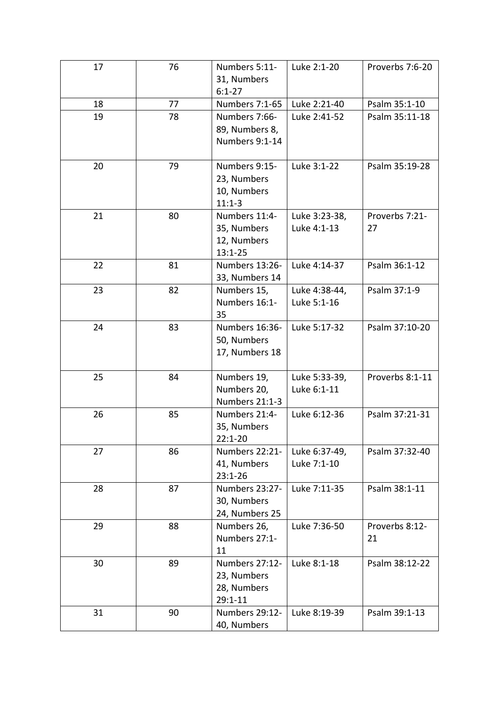| Luke 2:21-40<br>Psalm 35:1-10<br>18<br>77<br>Numbers 7:1-65<br>19<br>Numbers 7:66-<br>Luke 2:41-52<br>Psalm 35:11-18<br>78<br>89, Numbers 8,<br>Numbers 9:1-14<br>Numbers 9:15-<br>Luke 3:1-22<br>20<br>79<br>Psalm 35:19-28<br>23, Numbers<br>10, Numbers<br>$11:1-3$<br>21<br>80<br>Numbers 11:4-<br>Proverbs 7:21-<br>Luke 3:23-38,<br>35, Numbers<br>Luke 4:1-13<br>27<br>12, Numbers<br>$13:1 - 25$<br>81<br>22<br>Numbers 13:26-<br>Luke 4:14-37<br>Psalm 36:1-12<br>33, Numbers 14<br>82<br>23<br>Luke 4:38-44,<br>Psalm 37:1-9<br>Numbers 15,<br>Numbers 16:1-<br>Luke 5:1-16<br>35<br>Numbers 16:36-<br>Luke 5:17-32<br>Psalm 37:10-20<br>24<br>83<br>50, Numbers<br>17, Numbers 18<br>25<br>Proverbs 8:1-11<br>84<br>Numbers 19,<br>Luke 5:33-39,<br>Numbers 20,<br>Luke 6:1-11<br>Numbers 21:1-3<br>85<br>Luke 6:12-36<br>Psalm 37:21-31<br>26<br>Numbers 21:4-<br>35, Numbers<br>$22:1 - 20$<br>27<br>86<br>Numbers 22:21-<br>Psalm 37:32-40<br>Luke 6:37-49,<br>41, Numbers<br>Luke 7:1-10<br>$23:1 - 26$<br>Numbers 23:27-<br>28<br>87<br>Luke 7:11-35<br>Psalm 38:1-11<br>30, Numbers<br>24, Numbers 25<br>29<br>88<br>Numbers 26,<br>Proverbs 8:12-<br>Luke 7:36-50<br>Numbers 27:1-<br>21<br>11<br>30<br>Numbers 27:12-<br>Psalm 38:12-22<br>89<br>Luke 8:1-18<br>23, Numbers<br>28, Numbers<br>$29:1 - 11$<br>31<br>90<br>Numbers 29:12-<br>Luke 8:19-39<br>Psalm 39:1-13 | 17 | 76 | Numbers 5:11-<br>31, Numbers | Luke 2:1-20 | Proverbs 7:6-20 |
|---------------------------------------------------------------------------------------------------------------------------------------------------------------------------------------------------------------------------------------------------------------------------------------------------------------------------------------------------------------------------------------------------------------------------------------------------------------------------------------------------------------------------------------------------------------------------------------------------------------------------------------------------------------------------------------------------------------------------------------------------------------------------------------------------------------------------------------------------------------------------------------------------------------------------------------------------------------------------------------------------------------------------------------------------------------------------------------------------------------------------------------------------------------------------------------------------------------------------------------------------------------------------------------------------------------------------------------------------------------------------------------------|----|----|------------------------------|-------------|-----------------|
|                                                                                                                                                                                                                                                                                                                                                                                                                                                                                                                                                                                                                                                                                                                                                                                                                                                                                                                                                                                                                                                                                                                                                                                                                                                                                                                                                                                             |    |    | $6:1 - 27$                   |             |                 |
|                                                                                                                                                                                                                                                                                                                                                                                                                                                                                                                                                                                                                                                                                                                                                                                                                                                                                                                                                                                                                                                                                                                                                                                                                                                                                                                                                                                             |    |    |                              |             |                 |
|                                                                                                                                                                                                                                                                                                                                                                                                                                                                                                                                                                                                                                                                                                                                                                                                                                                                                                                                                                                                                                                                                                                                                                                                                                                                                                                                                                                             |    |    |                              |             |                 |
|                                                                                                                                                                                                                                                                                                                                                                                                                                                                                                                                                                                                                                                                                                                                                                                                                                                                                                                                                                                                                                                                                                                                                                                                                                                                                                                                                                                             |    |    |                              |             |                 |
|                                                                                                                                                                                                                                                                                                                                                                                                                                                                                                                                                                                                                                                                                                                                                                                                                                                                                                                                                                                                                                                                                                                                                                                                                                                                                                                                                                                             |    |    |                              |             |                 |
|                                                                                                                                                                                                                                                                                                                                                                                                                                                                                                                                                                                                                                                                                                                                                                                                                                                                                                                                                                                                                                                                                                                                                                                                                                                                                                                                                                                             |    |    |                              |             |                 |
|                                                                                                                                                                                                                                                                                                                                                                                                                                                                                                                                                                                                                                                                                                                                                                                                                                                                                                                                                                                                                                                                                                                                                                                                                                                                                                                                                                                             |    |    |                              |             |                 |
|                                                                                                                                                                                                                                                                                                                                                                                                                                                                                                                                                                                                                                                                                                                                                                                                                                                                                                                                                                                                                                                                                                                                                                                                                                                                                                                                                                                             |    |    |                              |             |                 |
|                                                                                                                                                                                                                                                                                                                                                                                                                                                                                                                                                                                                                                                                                                                                                                                                                                                                                                                                                                                                                                                                                                                                                                                                                                                                                                                                                                                             |    |    |                              |             |                 |
|                                                                                                                                                                                                                                                                                                                                                                                                                                                                                                                                                                                                                                                                                                                                                                                                                                                                                                                                                                                                                                                                                                                                                                                                                                                                                                                                                                                             |    |    |                              |             |                 |
|                                                                                                                                                                                                                                                                                                                                                                                                                                                                                                                                                                                                                                                                                                                                                                                                                                                                                                                                                                                                                                                                                                                                                                                                                                                                                                                                                                                             |    |    |                              |             |                 |
|                                                                                                                                                                                                                                                                                                                                                                                                                                                                                                                                                                                                                                                                                                                                                                                                                                                                                                                                                                                                                                                                                                                                                                                                                                                                                                                                                                                             |    |    |                              |             |                 |
|                                                                                                                                                                                                                                                                                                                                                                                                                                                                                                                                                                                                                                                                                                                                                                                                                                                                                                                                                                                                                                                                                                                                                                                                                                                                                                                                                                                             |    |    |                              |             |                 |
|                                                                                                                                                                                                                                                                                                                                                                                                                                                                                                                                                                                                                                                                                                                                                                                                                                                                                                                                                                                                                                                                                                                                                                                                                                                                                                                                                                                             |    |    |                              |             |                 |
|                                                                                                                                                                                                                                                                                                                                                                                                                                                                                                                                                                                                                                                                                                                                                                                                                                                                                                                                                                                                                                                                                                                                                                                                                                                                                                                                                                                             |    |    |                              |             |                 |
|                                                                                                                                                                                                                                                                                                                                                                                                                                                                                                                                                                                                                                                                                                                                                                                                                                                                                                                                                                                                                                                                                                                                                                                                                                                                                                                                                                                             |    |    |                              |             |                 |
|                                                                                                                                                                                                                                                                                                                                                                                                                                                                                                                                                                                                                                                                                                                                                                                                                                                                                                                                                                                                                                                                                                                                                                                                                                                                                                                                                                                             |    |    |                              |             |                 |
|                                                                                                                                                                                                                                                                                                                                                                                                                                                                                                                                                                                                                                                                                                                                                                                                                                                                                                                                                                                                                                                                                                                                                                                                                                                                                                                                                                                             |    |    |                              |             |                 |
|                                                                                                                                                                                                                                                                                                                                                                                                                                                                                                                                                                                                                                                                                                                                                                                                                                                                                                                                                                                                                                                                                                                                                                                                                                                                                                                                                                                             |    |    |                              |             |                 |
|                                                                                                                                                                                                                                                                                                                                                                                                                                                                                                                                                                                                                                                                                                                                                                                                                                                                                                                                                                                                                                                                                                                                                                                                                                                                                                                                                                                             |    |    |                              |             |                 |
|                                                                                                                                                                                                                                                                                                                                                                                                                                                                                                                                                                                                                                                                                                                                                                                                                                                                                                                                                                                                                                                                                                                                                                                                                                                                                                                                                                                             |    |    |                              |             |                 |
|                                                                                                                                                                                                                                                                                                                                                                                                                                                                                                                                                                                                                                                                                                                                                                                                                                                                                                                                                                                                                                                                                                                                                                                                                                                                                                                                                                                             |    |    |                              |             |                 |
|                                                                                                                                                                                                                                                                                                                                                                                                                                                                                                                                                                                                                                                                                                                                                                                                                                                                                                                                                                                                                                                                                                                                                                                                                                                                                                                                                                                             |    |    |                              |             |                 |
|                                                                                                                                                                                                                                                                                                                                                                                                                                                                                                                                                                                                                                                                                                                                                                                                                                                                                                                                                                                                                                                                                                                                                                                                                                                                                                                                                                                             |    |    |                              |             |                 |
|                                                                                                                                                                                                                                                                                                                                                                                                                                                                                                                                                                                                                                                                                                                                                                                                                                                                                                                                                                                                                                                                                                                                                                                                                                                                                                                                                                                             |    |    |                              |             |                 |
|                                                                                                                                                                                                                                                                                                                                                                                                                                                                                                                                                                                                                                                                                                                                                                                                                                                                                                                                                                                                                                                                                                                                                                                                                                                                                                                                                                                             |    |    |                              |             |                 |
|                                                                                                                                                                                                                                                                                                                                                                                                                                                                                                                                                                                                                                                                                                                                                                                                                                                                                                                                                                                                                                                                                                                                                                                                                                                                                                                                                                                             |    |    |                              |             |                 |
|                                                                                                                                                                                                                                                                                                                                                                                                                                                                                                                                                                                                                                                                                                                                                                                                                                                                                                                                                                                                                                                                                                                                                                                                                                                                                                                                                                                             |    |    |                              |             |                 |
|                                                                                                                                                                                                                                                                                                                                                                                                                                                                                                                                                                                                                                                                                                                                                                                                                                                                                                                                                                                                                                                                                                                                                                                                                                                                                                                                                                                             |    |    |                              |             |                 |
|                                                                                                                                                                                                                                                                                                                                                                                                                                                                                                                                                                                                                                                                                                                                                                                                                                                                                                                                                                                                                                                                                                                                                                                                                                                                                                                                                                                             |    |    |                              |             |                 |
|                                                                                                                                                                                                                                                                                                                                                                                                                                                                                                                                                                                                                                                                                                                                                                                                                                                                                                                                                                                                                                                                                                                                                                                                                                                                                                                                                                                             |    |    |                              |             |                 |
|                                                                                                                                                                                                                                                                                                                                                                                                                                                                                                                                                                                                                                                                                                                                                                                                                                                                                                                                                                                                                                                                                                                                                                                                                                                                                                                                                                                             |    |    |                              |             |                 |
|                                                                                                                                                                                                                                                                                                                                                                                                                                                                                                                                                                                                                                                                                                                                                                                                                                                                                                                                                                                                                                                                                                                                                                                                                                                                                                                                                                                             |    |    |                              |             |                 |
|                                                                                                                                                                                                                                                                                                                                                                                                                                                                                                                                                                                                                                                                                                                                                                                                                                                                                                                                                                                                                                                                                                                                                                                                                                                                                                                                                                                             |    |    |                              |             |                 |
|                                                                                                                                                                                                                                                                                                                                                                                                                                                                                                                                                                                                                                                                                                                                                                                                                                                                                                                                                                                                                                                                                                                                                                                                                                                                                                                                                                                             |    |    |                              |             |                 |
|                                                                                                                                                                                                                                                                                                                                                                                                                                                                                                                                                                                                                                                                                                                                                                                                                                                                                                                                                                                                                                                                                                                                                                                                                                                                                                                                                                                             |    |    |                              |             |                 |
|                                                                                                                                                                                                                                                                                                                                                                                                                                                                                                                                                                                                                                                                                                                                                                                                                                                                                                                                                                                                                                                                                                                                                                                                                                                                                                                                                                                             |    |    |                              |             |                 |
|                                                                                                                                                                                                                                                                                                                                                                                                                                                                                                                                                                                                                                                                                                                                                                                                                                                                                                                                                                                                                                                                                                                                                                                                                                                                                                                                                                                             |    |    |                              |             |                 |
|                                                                                                                                                                                                                                                                                                                                                                                                                                                                                                                                                                                                                                                                                                                                                                                                                                                                                                                                                                                                                                                                                                                                                                                                                                                                                                                                                                                             |    |    |                              |             |                 |
|                                                                                                                                                                                                                                                                                                                                                                                                                                                                                                                                                                                                                                                                                                                                                                                                                                                                                                                                                                                                                                                                                                                                                                                                                                                                                                                                                                                             |    |    |                              |             |                 |
|                                                                                                                                                                                                                                                                                                                                                                                                                                                                                                                                                                                                                                                                                                                                                                                                                                                                                                                                                                                                                                                                                                                                                                                                                                                                                                                                                                                             |    |    | 40, Numbers                  |             |                 |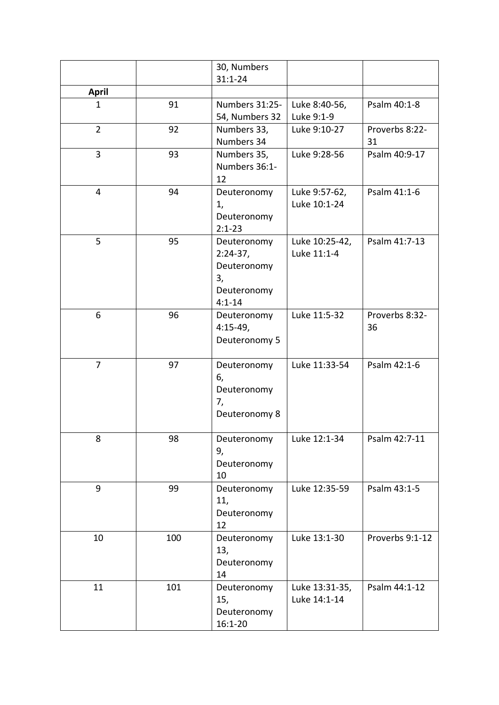|                |     | 30, Numbers               |                               |                 |
|----------------|-----|---------------------------|-------------------------------|-----------------|
|                |     | $31:1 - 24$               |                               |                 |
| <b>April</b>   |     |                           |                               |                 |
| $\mathbf{1}$   | 91  | Numbers 31:25-            | Luke 8:40-56,                 | Psalm 40:1-8    |
|                |     | 54, Numbers 32            | Luke 9:1-9                    |                 |
| $\overline{2}$ | 92  | Numbers 33,               | Luke 9:10-27                  | Proverbs 8:22-  |
|                |     | Numbers 34                |                               | 31              |
| $\overline{3}$ | 93  | Numbers 35,               | Luke 9:28-56                  | Psalm 40:9-17   |
|                |     | Numbers 36:1-             |                               |                 |
|                |     | 12                        |                               |                 |
| $\overline{4}$ | 94  | Deuteronomy               | Luke 9:57-62,<br>Luke 10:1-24 | Psalm 41:1-6    |
|                |     | 1,                        |                               |                 |
|                |     | Deuteronomy<br>$2:1 - 23$ |                               |                 |
| 5              | 95  | Deuteronomy               | Luke 10:25-42,                | Psalm 41:7-13   |
|                |     | $2:24-37,$                | Luke 11:1-4                   |                 |
|                |     | Deuteronomy               |                               |                 |
|                |     | 3,                        |                               |                 |
|                |     | Deuteronomy               |                               |                 |
|                |     | $4:1 - 14$                |                               |                 |
| 6              | 96  | Deuteronomy               | Luke 11:5-32                  | Proverbs 8:32-  |
|                |     | $4:15-49,$                |                               | 36              |
|                |     | Deuteronomy 5             |                               |                 |
|                |     |                           |                               |                 |
| $\overline{7}$ | 97  | Deuteronomy               | Luke 11:33-54                 | Psalm 42:1-6    |
|                |     | 6,                        |                               |                 |
|                |     | Deuteronomy               |                               |                 |
|                |     | 7,                        |                               |                 |
|                |     | Deuteronomy 8             |                               |                 |
| 8              | 98  | Deuteronomy               | Luke 12:1-34                  | Psalm 42:7-11   |
|                |     | 9,                        |                               |                 |
|                |     | Deuteronomy               |                               |                 |
|                |     | 10                        |                               |                 |
| 9              | 99  | Deuteronomy               | Luke 12:35-59                 | Psalm 43:1-5    |
|                |     | 11,                       |                               |                 |
|                |     | Deuteronomy               |                               |                 |
|                |     | 12                        |                               |                 |
| 10             | 100 | Deuteronomy               | Luke 13:1-30                  | Proverbs 9:1-12 |
|                |     | 13,                       |                               |                 |
|                |     | Deuteronomy               |                               |                 |
|                |     | 14                        |                               |                 |
| 11             | 101 | Deuteronomy               | Luke 13:31-35,                | Psalm 44:1-12   |
|                |     | 15,                       | Luke 14:1-14                  |                 |
|                |     | Deuteronomy               |                               |                 |
|                |     | $16:1 - 20$               |                               |                 |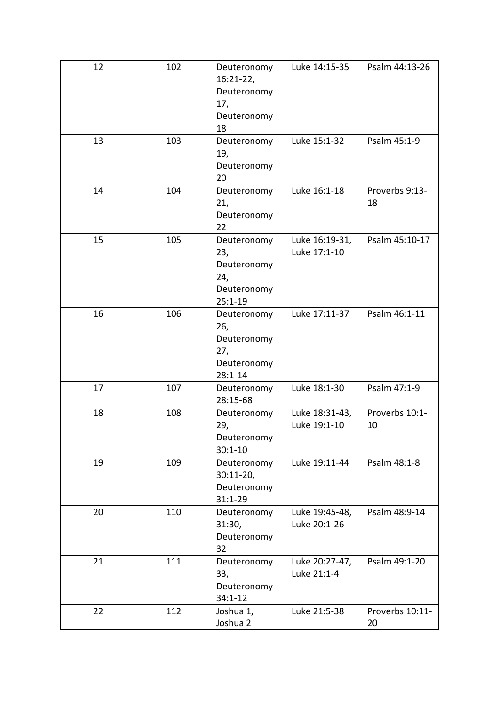| 12 | 102 | Deuteronomy<br>$16:21-22,$<br>Deuteronomy<br>17,<br>Deuteronomy<br>18  | Luke 14:15-35                  | Psalm 44:13-26        |
|----|-----|------------------------------------------------------------------------|--------------------------------|-----------------------|
| 13 | 103 | Deuteronomy<br>19,<br>Deuteronomy<br>20                                | Luke 15:1-32                   | Psalm 45:1-9          |
| 14 | 104 | Deuteronomy<br>21,<br>Deuteronomy<br>22                                | Luke 16:1-18                   | Proverbs 9:13-<br>18  |
| 15 | 105 | Deuteronomy<br>23,<br>Deuteronomy<br>24,<br>Deuteronomy<br>$25:1 - 19$ | Luke 16:19-31,<br>Luke 17:1-10 | Psalm 45:10-17        |
| 16 | 106 | Deuteronomy<br>26,<br>Deuteronomy<br>27,<br>Deuteronomy<br>$28:1 - 14$ | Luke 17:11-37                  | Psalm 46:1-11         |
| 17 | 107 | Deuteronomy<br>28:15-68                                                | Luke 18:1-30                   | Psalm 47:1-9          |
| 18 | 108 | Deuteronomy<br>29,<br>Deuteronomy<br>$30:1 - 10$                       | Luke 18:31-43,<br>Luke 19:1-10 | Proverbs 10:1-<br>10  |
| 19 | 109 | Deuteronomy<br>$30:11-20,$<br>Deuteronomy<br>$31:1 - 29$               | Luke 19:11-44                  | Psalm 48:1-8          |
| 20 | 110 | Deuteronomy<br>31:30,<br>Deuteronomy<br>32                             | Luke 19:45-48,<br>Luke 20:1-26 | Psalm 48:9-14         |
| 21 | 111 | Deuteronomy<br>33,<br>Deuteronomy<br>$34:1 - 12$                       | Luke 20:27-47,<br>Luke 21:1-4  | Psalm 49:1-20         |
| 22 | 112 | Joshua 1,<br>Joshua 2                                                  | Luke 21:5-38                   | Proverbs 10:11-<br>20 |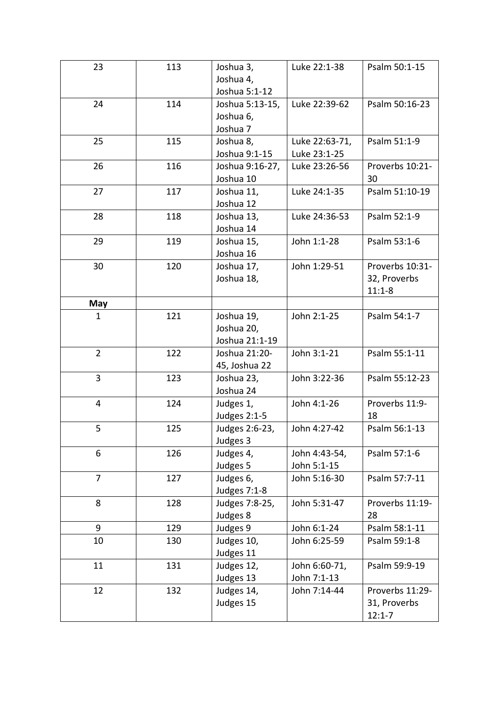| 23             | 113 | Joshua 3,       | Luke 22:1-38   | Psalm 50:1-15   |
|----------------|-----|-----------------|----------------|-----------------|
|                |     | Joshua 4,       |                |                 |
|                |     | Joshua 5:1-12   |                |                 |
| 24             | 114 | Joshua 5:13-15, | Luke 22:39-62  | Psalm 50:16-23  |
|                |     | Joshua 6,       |                |                 |
|                |     | Joshua 7        |                |                 |
| 25             | 115 | Joshua 8,       | Luke 22:63-71, | Psalm 51:1-9    |
|                |     | Joshua 9:1-15   | Luke 23:1-25   |                 |
| 26             | 116 | Joshua 9:16-27, | Luke 23:26-56  | Proverbs 10:21- |
|                |     | Joshua 10       |                | 30              |
| 27             | 117 | Joshua 11,      | Luke 24:1-35   | Psalm 51:10-19  |
|                |     | Joshua 12       |                |                 |
| 28             | 118 | Joshua 13,      | Luke 24:36-53  | Psalm 52:1-9    |
|                |     | Joshua 14       |                |                 |
| 29             | 119 | Joshua 15,      | John 1:1-28    | Psalm 53:1-6    |
|                |     | Joshua 16       |                |                 |
| 30             | 120 | Joshua 17,      | John 1:29-51   | Proverbs 10:31- |
|                |     | Joshua 18,      |                | 32, Proverbs    |
|                |     |                 |                | $11:1-8$        |
| May            |     |                 |                |                 |
| $\mathbf{1}$   | 121 | Joshua 19,      | John 2:1-25    | Psalm 54:1-7    |
|                |     | Joshua 20,      |                |                 |
|                |     | Joshua 21:1-19  |                |                 |
| $\overline{2}$ | 122 | Joshua 21:20-   | John 3:1-21    | Psalm 55:1-11   |
|                |     | 45, Joshua 22   |                |                 |
| 3              | 123 | Joshua 23,      | John 3:22-36   | Psalm 55:12-23  |
|                |     | Joshua 24       |                |                 |
| 4              | 124 | Judges 1,       | John 4:1-26    | Proverbs 11:9-  |
|                |     | Judges 2:1-5    |                | 18              |
| 5              | 125 | Judges 2:6-23,  | John 4:27-42   | Psalm 56:1-13   |
|                |     | Judges 3        |                |                 |
| 6              | 126 | Judges 4,       | John 4:43-54,  | Psalm 57:1-6    |
|                |     | Judges 5        | John 5:1-15    |                 |
| $\overline{7}$ | 127 | Judges 6,       | John 5:16-30   | Psalm 57:7-11   |
|                |     | Judges 7:1-8    |                |                 |
| 8              | 128 | Judges 7:8-25,  | John 5:31-47   | Proverbs 11:19- |
|                |     | Judges 8        |                | 28              |
| 9              | 129 | Judges 9        | John 6:1-24    | Psalm 58:1-11   |
| 10             | 130 | Judges 10,      | John 6:25-59   | Psalm 59:1-8    |
|                |     | Judges 11       |                |                 |
| 11             | 131 | Judges 12,      | John 6:60-71,  | Psalm 59:9-19   |
|                |     | Judges 13       | John 7:1-13    |                 |
| 12             | 132 | Judges 14,      | John 7:14-44   | Proverbs 11:29- |
|                |     | Judges 15       |                | 31, Proverbs    |
|                |     |                 |                | $12:1 - 7$      |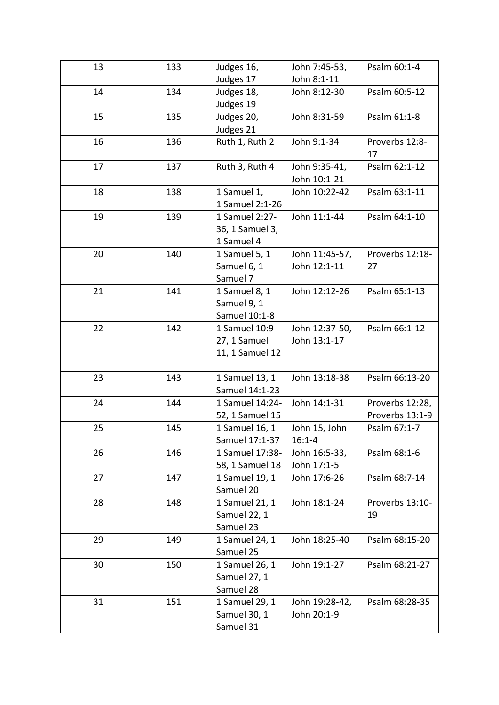| 13 | 133 | Judges 16,      | John 7:45-53,  | Psalm 60:1-4    |
|----|-----|-----------------|----------------|-----------------|
|    |     | Judges 17       | John 8:1-11    |                 |
| 14 | 134 | Judges 18,      | John 8:12-30   | Psalm 60:5-12   |
|    |     | Judges 19       |                |                 |
| 15 | 135 | Judges 20,      | John 8:31-59   | Psalm 61:1-8    |
|    |     | Judges 21       |                |                 |
| 16 | 136 | Ruth 1, Ruth 2  | John 9:1-34    | Proverbs 12:8-  |
|    |     |                 |                | 17              |
| 17 | 137 | Ruth 3, Ruth 4  | John 9:35-41,  | Psalm 62:1-12   |
|    |     |                 | John 10:1-21   |                 |
| 18 | 138 | 1 Samuel 1,     | John 10:22-42  | Psalm 63:1-11   |
|    |     | 1 Samuel 2:1-26 |                |                 |
| 19 | 139 | 1 Samuel 2:27-  | John 11:1-44   | Psalm 64:1-10   |
|    |     | 36, 1 Samuel 3, |                |                 |
|    |     | 1 Samuel 4      |                |                 |
| 20 | 140 | 1 Samuel 5, 1   | John 11:45-57, | Proverbs 12:18- |
|    |     | Samuel 6, 1     | John 12:1-11   | 27              |
|    |     | Samuel 7        |                |                 |
| 21 | 141 | 1 Samuel 8, 1   | John 12:12-26  | Psalm 65:1-13   |
|    |     | Samuel 9, 1     |                |                 |
|    |     | Samuel 10:1-8   |                |                 |
| 22 | 142 | 1 Samuel 10:9-  | John 12:37-50, | Psalm 66:1-12   |
|    |     | 27, 1 Samuel    | John 13:1-17   |                 |
|    |     | 11, 1 Samuel 12 |                |                 |
| 23 | 143 | 1 Samuel 13, 1  | John 13:18-38  | Psalm 66:13-20  |
|    |     | Samuel 14:1-23  |                |                 |
| 24 | 144 | 1 Samuel 14:24- | John 14:1-31   | Proverbs 12:28, |
|    |     | 52, 1 Samuel 15 |                | Proverbs 13:1-9 |
| 25 | 145 | 1 Samuel 16, 1  | John 15, John  | Psalm 67:1-7    |
|    |     | Samuel 17:1-37  | $16:1 - 4$     |                 |
| 26 | 146 | 1 Samuel 17:38- | John 16:5-33,  | Psalm 68:1-6    |
|    |     | 58, 1 Samuel 18 | John 17:1-5    |                 |
| 27 | 147 | 1 Samuel 19, 1  | John 17:6-26   | Psalm 68:7-14   |
|    |     | Samuel 20       |                |                 |
| 28 | 148 | 1 Samuel 21, 1  | John 18:1-24   | Proverbs 13:10- |
|    |     | Samuel 22, 1    |                | 19              |
|    |     | Samuel 23       |                |                 |
| 29 | 149 | 1 Samuel 24, 1  | John 18:25-40  | Psalm 68:15-20  |
|    |     | Samuel 25       |                |                 |
| 30 | 150 | 1 Samuel 26, 1  | John 19:1-27   | Psalm 68:21-27  |
|    |     | Samuel 27, 1    |                |                 |
|    |     | Samuel 28       |                |                 |
| 31 | 151 | 1 Samuel 29, 1  | John 19:28-42, | Psalm 68:28-35  |
|    |     | Samuel 30, 1    | John 20:1-9    |                 |
|    |     | Samuel 31       |                |                 |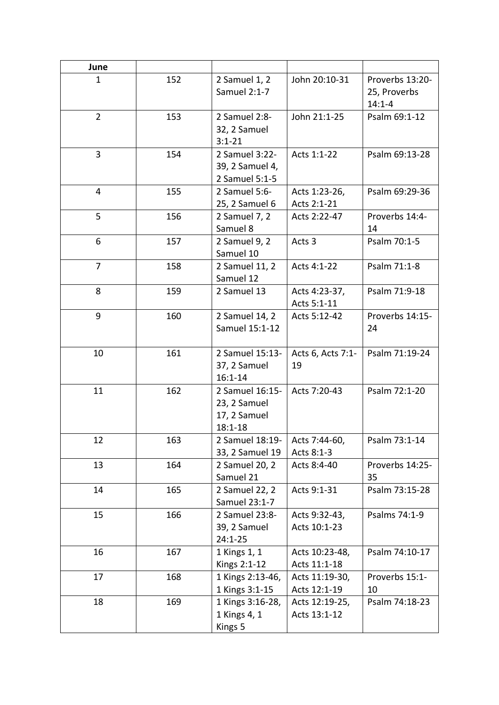| June           |     |                                                                |                                |                                               |
|----------------|-----|----------------------------------------------------------------|--------------------------------|-----------------------------------------------|
| $\mathbf{1}$   | 152 | 2 Samuel 1, 2<br>Samuel 2:1-7                                  | John 20:10-31                  | Proverbs 13:20-<br>25, Proverbs<br>$14:1 - 4$ |
| $\overline{2}$ | 153 | 2 Samuel 2:8-<br>32, 2 Samuel<br>$3:1 - 21$                    | John 21:1-25                   | Psalm 69:1-12                                 |
| 3              | 154 | 2 Samuel 3:22-<br>39, 2 Samuel 4,<br>2 Samuel 5:1-5            | Acts 1:1-22                    | Psalm 69:13-28                                |
| $\overline{4}$ | 155 | 2 Samuel 5:6-<br>25, 2 Samuel 6                                | Acts 1:23-26,<br>Acts 2:1-21   | Psalm 69:29-36                                |
| 5              | 156 | 2 Samuel 7, 2<br>Samuel 8                                      | Acts 2:22-47                   | Proverbs 14:4-<br>14                          |
| 6              | 157 | 2 Samuel 9, 2<br>Samuel 10                                     | Acts <sub>3</sub>              | Psalm 70:1-5                                  |
| $\overline{7}$ | 158 | 2 Samuel 11, 2<br>Samuel 12                                    | Acts 4:1-22                    | Psalm 71:1-8                                  |
| 8              | 159 | 2 Samuel 13                                                    | Acts 4:23-37,<br>Acts 5:1-11   | Psalm 71:9-18                                 |
| 9              | 160 | 2 Samuel 14, 2<br>Samuel 15:1-12                               | Acts 5:12-42                   | Proverbs 14:15-<br>24                         |
| 10             | 161 | 2 Samuel 15:13-<br>37, 2 Samuel<br>$16:1 - 14$                 | Acts 6, Acts 7:1-<br>19        | Psalm 71:19-24                                |
| 11             | 162 | 2 Samuel 16:15-<br>23, 2 Samuel<br>17, 2 Samuel<br>$18:1 - 18$ | Acts 7:20-43                   | Psalm 72:1-20                                 |
| 12             | 163 | 2 Samuel 18:19-<br>33, 2 Samuel 19                             | Acts 7:44-60,<br>Acts 8:1-3    | Psalm 73:1-14                                 |
| 13             | 164 | 2 Samuel 20, 2<br>Samuel 21                                    | Acts 8:4-40                    | Proverbs 14:25-<br>35                         |
| 14             | 165 | 2 Samuel 22, 2<br>Samuel 23:1-7                                | Acts 9:1-31                    | Psalm 73:15-28                                |
| 15             | 166 | 2 Samuel 23:8-<br>39, 2 Samuel<br>$24:1 - 25$                  | Acts 9:32-43,<br>Acts 10:1-23  | Psalms 74:1-9                                 |
| 16             | 167 | 1 Kings 1, 1<br>Kings 2:1-12                                   | Acts 10:23-48,<br>Acts 11:1-18 | Psalm 74:10-17                                |
| 17             | 168 | 1 Kings 2:13-46,<br>1 Kings 3:1-15                             | Acts 11:19-30,<br>Acts 12:1-19 | Proverbs 15:1-<br>10                          |
| 18             | 169 | 1 Kings 3:16-28,<br>1 Kings 4, 1<br>Kings 5                    | Acts 12:19-25,<br>Acts 13:1-12 | Psalm 74:18-23                                |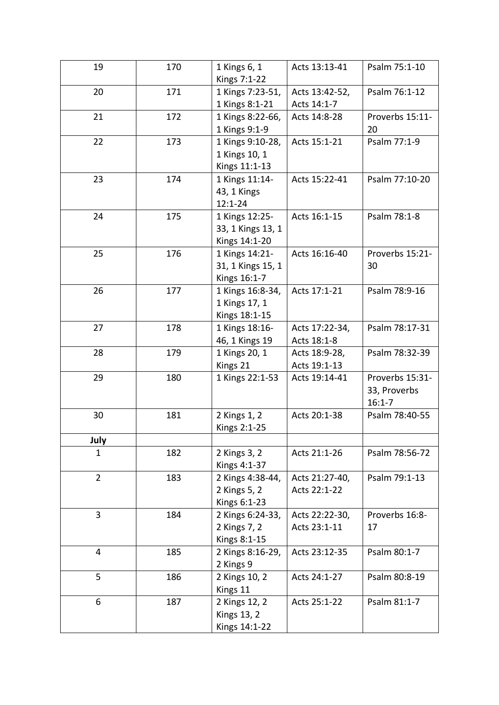| 19             | 170 | 1 Kings 6, 1<br>Kings 7:1-22                         | Acts 13:13-41                  | Psalm 75:1-10                                 |
|----------------|-----|------------------------------------------------------|--------------------------------|-----------------------------------------------|
| 20             | 171 | 1 Kings 7:23-51,<br>1 Kings 8:1-21                   | Acts 13:42-52,<br>Acts 14:1-7  | Psalm 76:1-12                                 |
| 21             | 172 | 1 Kings 8:22-66,<br>1 Kings 9:1-9                    | Acts 14:8-28                   | Proverbs 15:11-<br>20                         |
| 22             | 173 | 1 Kings 9:10-28,<br>1 Kings 10, 1<br>Kings 11:1-13   | Acts 15:1-21                   | Psalm 77:1-9                                  |
| 23             | 174 | 1 Kings 11:14-<br>43, 1 Kings<br>$12:1 - 24$         | Acts 15:22-41                  | Psalm 77:10-20                                |
| 24             | 175 | 1 Kings 12:25-<br>33, 1 Kings 13, 1<br>Kings 14:1-20 | Acts 16:1-15                   | Psalm 78:1-8                                  |
| 25             | 176 | 1 Kings 14:21-<br>31, 1 Kings 15, 1<br>Kings 16:1-7  | Acts 16:16-40                  | Proverbs 15:21-<br>30                         |
| 26             | 177 | 1 Kings 16:8-34,<br>1 Kings 17, 1<br>Kings 18:1-15   | Acts 17:1-21                   | Psalm 78:9-16                                 |
| 27             | 178 | 1 Kings 18:16-<br>46, 1 Kings 19                     | Acts 17:22-34,<br>Acts 18:1-8  | Psalm 78:17-31                                |
| 28             | 179 | 1 Kings 20, 1<br>Kings 21                            | Acts 18:9-28,<br>Acts 19:1-13  | Psalm 78:32-39                                |
| 29             | 180 | 1 Kings 22:1-53                                      | Acts 19:14-41                  | Proverbs 15:31-<br>33, Proverbs<br>$16:1 - 7$ |
| 30             | 181 | 2 Kings 1, 2<br>Kings 2:1-25                         | Acts 20:1-38                   | Psalm 78:40-55                                |
| July           |     |                                                      |                                |                                               |
| 1              | 182 | 2 Kings 3, 2<br>Kings 4:1-37                         | Acts 21:1-26                   | Psalm 78:56-72                                |
| $\overline{2}$ | 183 | 2 Kings 4:38-44,<br>2 Kings 5, 2<br>Kings 6:1-23     | Acts 21:27-40,<br>Acts 22:1-22 | Psalm 79:1-13                                 |
| 3              | 184 | 2 Kings 6:24-33,<br>2 Kings 7, 2<br>Kings 8:1-15     | Acts 22:22-30,<br>Acts 23:1-11 | Proverbs 16:8-<br>17                          |
| $\overline{4}$ | 185 | 2 Kings 8:16-29,<br>2 Kings 9                        | Acts 23:12-35                  | Psalm 80:1-7                                  |
| 5              | 186 | 2 Kings 10, 2<br>Kings 11                            | Acts 24:1-27                   | Psalm 80:8-19                                 |
| 6              | 187 | 2 Kings 12, 2<br><b>Kings 13, 2</b><br>Kings 14:1-22 | Acts 25:1-22                   | Psalm 81:1-7                                  |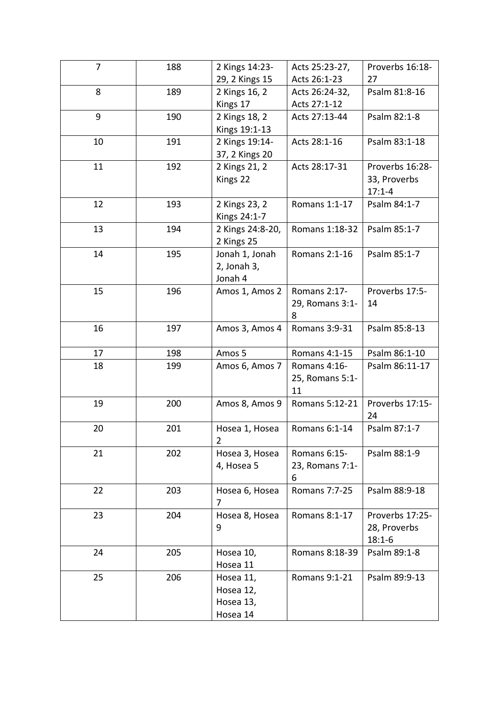| $\overline{7}$ | 188 | 2 Kings 14:23-   | Acts 25:23-27,       | Proverbs 16:18- |
|----------------|-----|------------------|----------------------|-----------------|
|                |     | 29, 2 Kings 15   | Acts 26:1-23         | 27              |
| 8              | 189 | 2 Kings 16, 2    | Acts 26:24-32,       | Psalm 81:8-16   |
|                |     | Kings 17         | Acts 27:1-12         |                 |
| 9              | 190 | 2 Kings 18, 2    | Acts 27:13-44        | Psalm 82:1-8    |
|                |     | Kings 19:1-13    |                      |                 |
| 10             | 191 | 2 Kings 19:14-   | Acts 28:1-16         | Psalm 83:1-18   |
|                |     | 37, 2 Kings 20   |                      |                 |
| 11             | 192 | 2 Kings 21, 2    | Acts 28:17-31        | Proverbs 16:28- |
|                |     | Kings 22         |                      | 33, Proverbs    |
|                |     |                  |                      | $17:1 - 4$      |
| 12             | 193 | 2 Kings 23, 2    | Romans 1:1-17        | Psalm 84:1-7    |
|                |     | Kings 24:1-7     |                      |                 |
| 13             | 194 | 2 Kings 24:8-20, | Romans 1:18-32       | Psalm 85:1-7    |
|                |     | 2 Kings 25       |                      |                 |
| 14             | 195 | Jonah 1, Jonah   | Romans 2:1-16        | Psalm 85:1-7    |
|                |     | 2, Jonah 3,      |                      |                 |
|                |     | Jonah 4          |                      |                 |
| 15             | 196 | Amos 1, Amos 2   | Romans 2:17-         | Proverbs 17:5-  |
|                |     |                  | 29, Romans 3:1-      | 14              |
|                |     |                  | 8                    |                 |
| 16             | 197 | Amos 3, Amos 4   | Romans 3:9-31        | Psalm 85:8-13   |
| 17             | 198 | Amos 5           | Romans 4:1-15        | Psalm 86:1-10   |
| 18             | 199 | Amos 6, Amos 7   | Romans 4:16-         | Psalm 86:11-17  |
|                |     |                  | 25, Romans 5:1-      |                 |
|                |     |                  | 11                   |                 |
| 19             | 200 | Amos 8, Amos 9   | Romans 5:12-21       | Proverbs 17:15- |
|                |     |                  |                      | 24              |
| 20             | 201 | Hosea 1, Hosea   | Romans 6:1-14        | Psalm 87:1-7    |
|                |     | $\overline{2}$   |                      |                 |
| 21             | 202 | Hosea 3, Hosea   | Romans 6:15-         | Psalm 88:1-9    |
|                |     | 4, Hosea 5       | 23, Romans 7:1-      |                 |
|                |     |                  | 6                    |                 |
| 22             | 203 | Hosea 6, Hosea   | <b>Romans 7:7-25</b> | Psalm 88:9-18   |
|                |     | 7                |                      |                 |
| 23             | 204 | Hosea 8, Hosea   | Romans 8:1-17        | Proverbs 17:25- |
|                |     | 9                |                      | 28, Proverbs    |
|                |     |                  |                      | $18:1 - 6$      |
| 24             | 205 | Hosea 10,        | Romans 8:18-39       | Psalm 89:1-8    |
|                |     | Hosea 11         |                      |                 |
| 25             | 206 | Hosea 11,        | Romans 9:1-21        | Psalm 89:9-13   |
|                |     | Hosea 12,        |                      |                 |
|                |     | Hosea 13,        |                      |                 |
|                |     | Hosea 14         |                      |                 |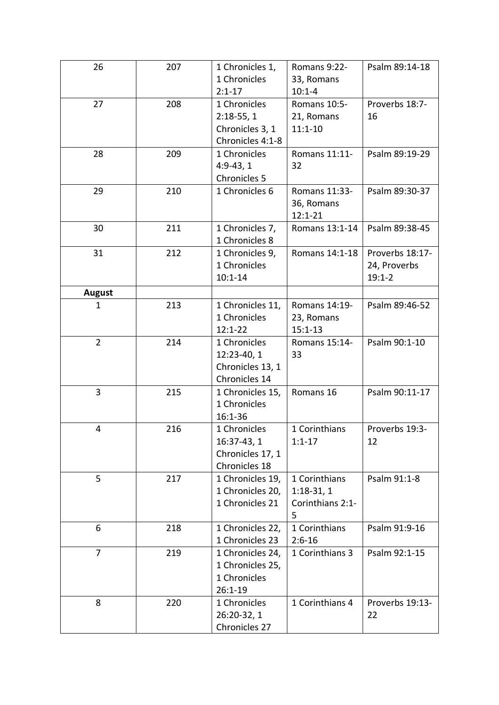| 26             | 207 | 1 Chronicles 1,  | Romans 9:22-     | Psalm 89:14-18  |
|----------------|-----|------------------|------------------|-----------------|
|                |     | 1 Chronicles     | 33, Romans       |                 |
|                |     | $2:1 - 17$       | $10:1 - 4$       |                 |
| 27             | 208 | 1 Chronicles     | Romans 10:5-     | Proverbs 18:7-  |
|                |     | $2:18-55,1$      | 21, Romans       | 16              |
|                |     | Chronicles 3, 1  | $11:1 - 10$      |                 |
|                |     | Chronicles 4:1-8 |                  |                 |
| 28             | 209 | 1 Chronicles     | Romans 11:11-    | Psalm 89:19-29  |
|                |     | $4:9-43,1$       | 32               |                 |
|                |     | Chronicles 5     |                  |                 |
| 29             | 210 | 1 Chronicles 6   | Romans 11:33-    | Psalm 89:30-37  |
|                |     |                  | 36, Romans       |                 |
|                |     |                  | $12:1 - 21$      |                 |
| 30             | 211 | 1 Chronicles 7,  | Romans 13:1-14   | Psalm 89:38-45  |
|                |     | 1 Chronicles 8   |                  |                 |
| 31             | 212 | 1 Chronicles 9,  | Romans 14:1-18   | Proverbs 18:17- |
|                |     | 1 Chronicles     |                  | 24, Proverbs    |
|                |     | $10:1 - 14$      |                  | $19:1 - 2$      |
| <b>August</b>  |     |                  |                  |                 |
| 1              | 213 | 1 Chronicles 11, | Romans 14:19-    | Psalm 89:46-52  |
|                |     | 1 Chronicles     | 23, Romans       |                 |
|                |     | $12:1 - 22$      | $15:1 - 13$      |                 |
| $\overline{2}$ | 214 | 1 Chronicles     | Romans 15:14-    | Psalm 90:1-10   |
|                |     | 12:23-40, 1      | 33               |                 |
|                |     | Chronicles 13, 1 |                  |                 |
|                |     | Chronicles 14    |                  |                 |
| 3              | 215 | 1 Chronicles 15, | Romans 16        | Psalm 90:11-17  |
|                |     | 1 Chronicles     |                  |                 |
|                |     | 16:1-36          |                  |                 |
| 4              | 216 | 1 Chronicles     | 1 Corinthians    | Proverbs 19:3-  |
|                |     | 16:37-43, 1      | $1:1 - 17$       | 12              |
|                |     | Chronicles 17, 1 |                  |                 |
|                |     | Chronicles 18    |                  |                 |
| 5              | 217 | 1 Chronicles 19, | 1 Corinthians    | Psalm 91:1-8    |
|                |     | 1 Chronicles 20, | $1:18-31,1$      |                 |
|                |     | 1 Chronicles 21  | Corinthians 2:1- |                 |
|                |     |                  | 5                |                 |
| 6              | 218 | 1 Chronicles 22, | 1 Corinthians    | Psalm 91:9-16   |
|                |     | 1 Chronicles 23  | $2:6 - 16$       |                 |
| $\overline{7}$ | 219 | 1 Chronicles 24, | 1 Corinthians 3  | Psalm 92:1-15   |
|                |     | 1 Chronicles 25, |                  |                 |
|                |     | 1 Chronicles     |                  |                 |
|                |     | 26:1-19          |                  |                 |
| 8              | 220 | 1 Chronicles     | 1 Corinthians 4  | Proverbs 19:13- |
|                |     | 26:20-32, 1      |                  | 22              |
|                |     | Chronicles 27    |                  |                 |
|                |     |                  |                  |                 |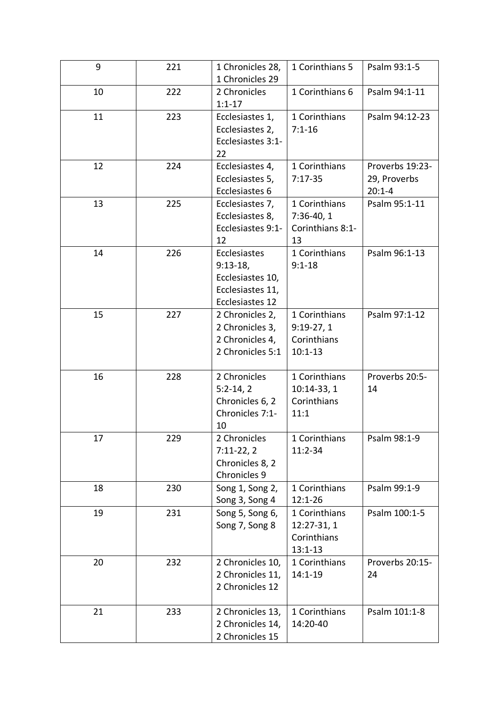| 9  | 221 | 1 Chronicles 28,<br>1 Chronicles 29                                                          | 1 Corinthians 5                                            | Psalm 93:1-5                                  |
|----|-----|----------------------------------------------------------------------------------------------|------------------------------------------------------------|-----------------------------------------------|
| 10 | 222 | 2 Chronicles<br>$1:1 - 17$                                                                   | 1 Corinthians 6                                            | Psalm 94:1-11                                 |
| 11 | 223 | Ecclesiastes 1,<br>Ecclesiastes 2,<br>Ecclesiastes 3:1-<br>22                                | 1 Corinthians<br>$7:1 - 16$                                | Psalm 94:12-23                                |
| 12 | 224 | Ecclesiastes 4,<br>Ecclesiastes 5,<br>Ecclesiastes 6                                         | 1 Corinthians<br>$7:17-35$                                 | Proverbs 19:23-<br>29, Proverbs<br>$20:1 - 4$ |
| 13 | 225 | Ecclesiastes 7,<br>Ecclesiastes 8,<br>Ecclesiastes 9:1-<br>12                                | 1 Corinthians<br>$7:36-40, 1$<br>Corinthians 8:1-<br>13    | Psalm 95:1-11                                 |
| 14 | 226 | <b>Ecclesiastes</b><br>$9:13-18,$<br>Ecclesiastes 10,<br>Ecclesiastes 11,<br>Ecclesiastes 12 | 1 Corinthians<br>$9:1 - 18$                                | Psalm 96:1-13                                 |
| 15 | 227 | 2 Chronicles 2,<br>2 Chronicles 3,<br>2 Chronicles 4,<br>2 Chronicles 5:1                    | 1 Corinthians<br>$9:19-27,1$<br>Corinthians<br>$10:1 - 13$ | Psalm 97:1-12                                 |
| 16 | 228 | 2 Chronicles<br>$5:2-14,2$<br>Chronicles 6, 2<br>Chronicles 7:1-<br>10                       | 1 Corinthians<br>10:14-33, 1<br>Corinthians<br>11:1        | Proverbs 20:5-<br>14                          |
| 17 | 229 | 2 Chronicles<br>$7:11-22,2$<br>Chronicles 8, 2<br>Chronicles 9                               | 1 Corinthians<br>11:2-34                                   | Psalm 98:1-9                                  |
| 18 | 230 | Song 1, Song 2,<br>Song 3, Song 4                                                            | 1 Corinthians<br>$12:1 - 26$                               | Psalm 99:1-9                                  |
| 19 | 231 | Song 5, Song 6,<br>Song 7, Song 8                                                            | 1 Corinthians<br>12:27-31, 1<br>Corinthians<br>$13:1 - 13$ | Psalm 100:1-5                                 |
| 20 | 232 | 2 Chronicles 10,<br>2 Chronicles 11,<br>2 Chronicles 12                                      | 1 Corinthians<br>$14:1 - 19$                               | Proverbs 20:15-<br>24                         |
| 21 | 233 | 2 Chronicles 13,<br>2 Chronicles 14,<br>2 Chronicles 15                                      | 1 Corinthians<br>14:20-40                                  | Psalm 101:1-8                                 |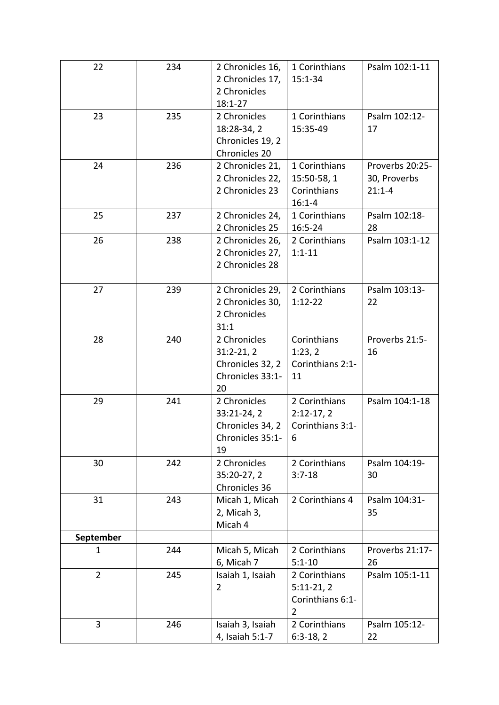| 22             | 234 | 2 Chronicles 16, | 1 Corinthians    | Psalm 102:1-11  |
|----------------|-----|------------------|------------------|-----------------|
|                |     | 2 Chronicles 17, | $15:1 - 34$      |                 |
|                |     | 2 Chronicles     |                  |                 |
|                |     | $18:1 - 27$      |                  |                 |
| 23             | 235 | 2 Chronicles     | 1 Corinthians    | Psalm 102:12-   |
|                |     | 18:28-34, 2      | 15:35-49         | 17              |
|                |     | Chronicles 19, 2 |                  |                 |
|                |     | Chronicles 20    |                  |                 |
| 24             | 236 | 2 Chronicles 21, | 1 Corinthians    | Proverbs 20:25- |
|                |     | 2 Chronicles 22, | 15:50-58, 1      | 30, Proverbs    |
|                |     | 2 Chronicles 23  | Corinthians      | $21:1 - 4$      |
|                |     |                  | $16:1 - 4$       |                 |
| 25             | 237 | 2 Chronicles 24, | 1 Corinthians    | Psalm 102:18-   |
|                |     | 2 Chronicles 25  | $16:5 - 24$      | 28              |
| 26             | 238 | 2 Chronicles 26, | 2 Corinthians    | Psalm 103:1-12  |
|                |     | 2 Chronicles 27, | $1:1 - 11$       |                 |
|                |     | 2 Chronicles 28  |                  |                 |
|                |     |                  |                  |                 |
| 27             | 239 | 2 Chronicles 29, | 2 Corinthians    | Psalm 103:13-   |
|                |     | 2 Chronicles 30, | $1:12-22$        | 22              |
|                |     | 2 Chronicles     |                  |                 |
|                |     | 31:1             |                  |                 |
| 28             | 240 | 2 Chronicles     | Corinthians      | Proverbs 21:5-  |
|                |     | $31:2-21,2$      | 1:23,2           | 16              |
|                |     | Chronicles 32, 2 | Corinthians 2:1- |                 |
|                |     | Chronicles 33:1- | 11               |                 |
|                |     | 20               |                  |                 |
| 29             | 241 | 2 Chronicles     | 2 Corinthians    | Psalm 104:1-18  |
|                |     | 33:21-24, 2      | $2:12-17,2$      |                 |
|                |     | Chronicles 34, 2 | Corinthians 3:1- |                 |
|                |     | Chronicles 35:1- | 6                |                 |
|                |     | 19               |                  |                 |
| 30             | 242 | 2 Chronicles     | 2 Corinthians    | Psalm 104:19-   |
|                |     | 35:20-27, 2      | $3:7 - 18$       | 30              |
|                |     | Chronicles 36    |                  |                 |
| 31             | 243 | Micah 1, Micah   | 2 Corinthians 4  | Psalm 104:31-   |
|                |     | 2, Micah 3,      |                  | 35              |
|                |     | Micah 4          |                  |                 |
| September      |     |                  |                  |                 |
| $\mathbf{1}$   | 244 | Micah 5, Micah   | 2 Corinthians    | Proverbs 21:17- |
|                |     | 6, Micah 7       | $5:1 - 10$       | 26              |
| $\overline{2}$ | 245 | Isaiah 1, Isaiah | 2 Corinthians    | Psalm 105:1-11  |
|                |     | $\overline{2}$   | $5:11-21,2$      |                 |
|                |     |                  | Corinthians 6:1- |                 |
|                |     |                  | $\overline{2}$   |                 |
| 3              | 246 | Isaiah 3, Isaiah | 2 Corinthians    | Psalm 105:12-   |
|                |     | 4, Isaiah 5:1-7  | $6:3-18,2$       | 22              |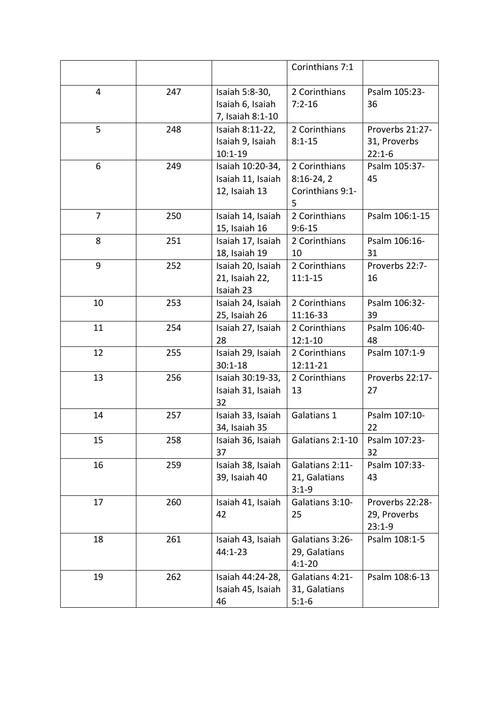|                |     |                   | Corinthians 7:1  |                 |
|----------------|-----|-------------------|------------------|-----------------|
| 4              | 247 | Isaiah 5:8-30,    | 2 Corinthians    | Psalm 105:23-   |
|                |     | Isaiah 6, Isaiah  | $7:2 - 16$       | 36              |
|                |     | 7, Isaiah 8:1-10  |                  |                 |
| 5              | 248 | Isaiah 8:11-22,   | 2 Corinthians    | Proverbs 21:27- |
|                |     | Isaiah 9, Isaiah  | $8:1 - 15$       | 31, Proverbs    |
|                |     | $10:1 - 19$       |                  | $22:1-6$        |
| 6              | 249 | Isaiah 10:20-34,  | 2 Corinthians    | Psalm 105:37-   |
|                |     | Isaiah 11, Isaiah | $8:16-24,2$      | 45              |
|                |     | 12, Isaiah 13     | Corinthians 9:1- |                 |
|                |     |                   | 5                |                 |
| $\overline{7}$ | 250 | Isaiah 14, Isaiah | 2 Corinthians    | Psalm 106:1-15  |
|                |     | 15, Isaiah 16     | $9:6 - 15$       |                 |
| 8              | 251 | Isaiah 17, Isaiah | 2 Corinthians    | Psalm 106:16-   |
|                |     | 18, Isaiah 19     | 10               | 31              |
| 9              | 252 | Isaiah 20, Isaiah | 2 Corinthians    | Proverbs 22:7-  |
|                |     | 21, Isaiah 22,    | $11:1 - 15$      | 16              |
|                |     | Isaiah 23         |                  |                 |
| 10             | 253 | Isaiah 24, Isaiah | 2 Corinthians    | Psalm 106:32-   |
|                |     | 25, Isaiah 26     | 11:16-33         | 39              |
| 11             | 254 | Isaiah 27, Isaiah | 2 Corinthians    | Psalm 106:40-   |
|                |     | 28                | $12:1 - 10$      | 48              |
| 12             | 255 | Isaiah 29, Isaiah | 2 Corinthians    | Psalm 107:1-9   |
|                |     | $30:1 - 18$       | 12:11-21         |                 |
| 13             | 256 | Isaiah 30:19-33,  | 2 Corinthians    | Proverbs 22:17- |
|                |     | Isaiah 31, Isaiah | 13               | 27              |
|                |     | 32                |                  |                 |
| 14             | 257 | Isaiah 33, Isaiah | Galatians 1      | Psalm 107:10-   |
|                |     | 34, Isaiah 35     |                  | 22              |
| 15             | 258 | Isaiah 36, Isaiah | Galatians 2:1-10 | Psalm 107:23-   |
|                |     | 37                |                  | 32              |
| 16             | 259 | Isaiah 38, Isaiah | Galatians 2:11-  | Psalm 107:33-   |
|                |     | 39, Isaiah 40     | 21, Galatians    | 43              |
|                |     |                   | $3:1 - 9$        |                 |
| 17             | 260 | Isaiah 41, Isaiah | Galatians 3:10-  | Proverbs 22:28- |
|                |     | 42                | 25               | 29, Proverbs    |
| 18             | 261 | Isaiah 43, Isaiah | Galatians 3:26-  | $23:1-9$        |
|                |     | 44:1-23           | 29, Galatians    | Psalm 108:1-5   |
|                |     |                   | $4:1 - 20$       |                 |
| 19             | 262 | Isaiah 44:24-28,  | Galatians 4:21-  | Psalm 108:6-13  |
|                |     | Isaiah 45, Isaiah | 31, Galatians    |                 |
|                |     | 46                | $5:1-6$          |                 |
|                |     |                   |                  |                 |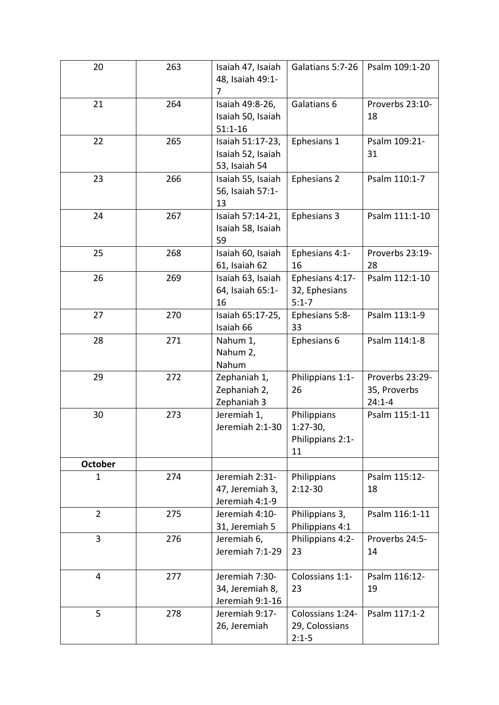| 20             | 263 | Isaiah 47, Isaiah<br>48, Isaiah 49:1-<br>7             | Galatians 5:7-26                                    | Psalm 109:1-20                                |
|----------------|-----|--------------------------------------------------------|-----------------------------------------------------|-----------------------------------------------|
| 21             | 264 | Isaiah 49:8-26,<br>Isaiah 50, Isaiah<br>$51:1 - 16$    | Galatians 6                                         | Proverbs 23:10-<br>18                         |
| 22             | 265 | Isaiah 51:17-23,<br>Isaiah 52, Isaiah<br>53, Isaiah 54 | Ephesians 1                                         | Psalm 109:21-<br>31                           |
| 23             | 266 | Isaiah 55, Isaiah<br>56, Isaiah 57:1-<br>13            | Ephesians 2                                         | Psalm 110:1-7                                 |
| 24             | 267 | Isaiah 57:14-21,<br>Isaiah 58, Isaiah<br>59            | Ephesians 3                                         | Psalm 111:1-10                                |
| 25             | 268 | Isaiah 60, Isaiah<br>61, Isaiah 62                     | Ephesians 4:1-<br>16                                | Proverbs 23:19-<br>28                         |
| 26             | 269 | Isaiah 63, Isaiah<br>64, Isaiah 65:1-<br>16            | Ephesians 4:17-<br>32, Ephesians<br>$5:1 - 7$       | Psalm 112:1-10                                |
| 27             | 270 | Isaiah 65:17-25,<br>Isaiah 66                          | Ephesians 5:8-<br>33                                | Psalm 113:1-9                                 |
| 28             | 271 | Nahum 1,<br>Nahum 2,<br>Nahum                          | Ephesians 6                                         | Psalm 114:1-8                                 |
| 29             | 272 | Zephaniah 1,<br>Zephaniah 2,<br>Zephaniah 3            | Philippians 1:1-<br>26                              | Proverbs 23:29-<br>35, Proverbs<br>$24:1 - 4$ |
| 30             | 273 | Jeremiah 1,<br>Jeremiah 2:1-30                         | Philippians<br>$1:27-30,$<br>Philippians 2:1-<br>11 | Psalm 115:1-11                                |
| <b>October</b> |     |                                                        |                                                     |                                               |
| 1              | 274 | Jeremiah 2:31-<br>47, Jeremiah 3,<br>Jeremiah 4:1-9    | Philippians<br>$2:12-30$                            | Psalm 115:12-<br>18                           |
| $\overline{2}$ | 275 | Jeremiah 4:10-<br>31, Jeremiah 5                       | Philippians 3,<br>Philippians 4:1                   | Psalm 116:1-11                                |
| $\overline{3}$ | 276 | Jeremiah 6,<br>Jeremiah 7:1-29                         | Philippians 4:2-<br>23                              | Proverbs 24:5-<br>14                          |
| $\overline{4}$ | 277 | Jeremiah 7:30-<br>34, Jeremiah 8,<br>Jeremiah 9:1-16   | Colossians 1:1-<br>23                               | Psalm 116:12-<br>19                           |
| 5              | 278 | Jeremiah 9:17-<br>26, Jeremiah                         | Colossians 1:24-<br>29, Colossians<br>$2:1-5$       | Psalm 117:1-2                                 |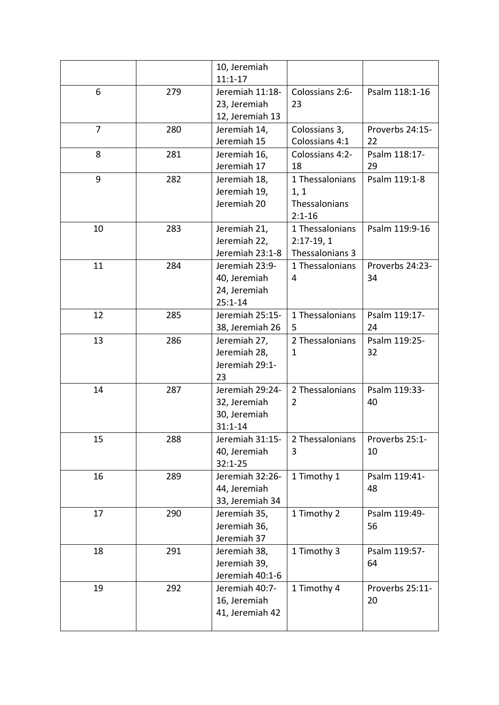|                |     | 10, Jeremiah    |                 |                 |
|----------------|-----|-----------------|-----------------|-----------------|
|                |     | $11:1 - 17$     |                 |                 |
| 6              | 279 | Jeremiah 11:18- | Colossians 2:6- | Psalm 118:1-16  |
|                |     | 23, Jeremiah    | 23              |                 |
|                |     | 12, Jeremiah 13 |                 |                 |
| $\overline{7}$ | 280 | Jeremiah 14,    | Colossians 3,   | Proverbs 24:15- |
|                |     | Jeremiah 15     | Colossians 4:1  | 22              |
| 8              | 281 | Jeremiah 16,    | Colossians 4:2- | Psalm 118:17-   |
|                |     | Jeremiah 17     | 18              | 29              |
| 9              | 282 | Jeremiah 18,    | 1 Thessalonians | Psalm 119:1-8   |
|                |     | Jeremiah 19,    | 1, 1            |                 |
|                |     | Jeremiah 20     | Thessalonians   |                 |
|                |     |                 | $2:1 - 16$      |                 |
| 10             | 283 | Jeremiah 21,    | 1 Thessalonians | Psalm 119:9-16  |
|                |     | Jeremiah 22,    | $2:17-19,1$     |                 |
|                |     | Jeremiah 23:1-8 | Thessalonians 3 |                 |
| 11             | 284 | Jeremiah 23:9-  | 1 Thessalonians | Proverbs 24:23- |
|                |     | 40, Jeremiah    | 4               | 34              |
|                |     | 24, Jeremiah    |                 |                 |
|                |     | $25:1 - 14$     |                 |                 |
| 12             | 285 | Jeremiah 25:15- | 1 Thessalonians | Psalm 119:17-   |
|                |     | 38, Jeremiah 26 | 5               | 24              |
| 13             | 286 | Jeremiah 27,    | 2 Thessalonians | Psalm 119:25-   |
|                |     | Jeremiah 28,    | $\mathbf{1}$    | 32              |
|                |     | Jeremiah 29:1-  |                 |                 |
|                |     | 23              |                 |                 |
| 14             | 287 | Jeremiah 29:24- | 2 Thessalonians | Psalm 119:33-   |
|                |     | 32, Jeremiah    | 2               | 40              |
|                |     | 30, Jeremiah    |                 |                 |
|                |     | $31:1 - 14$     |                 |                 |
| 15             | 288 | Jeremiah 31:15- | 2 Thessalonians | Proverbs 25:1-  |
|                |     | 40, Jeremiah    | 3               | 10              |
|                |     | $32:1 - 25$     |                 |                 |
| 16             | 289 | Jeremiah 32:26- | 1 Timothy 1     | Psalm 119:41-   |
|                |     | 44, Jeremiah    |                 | 48              |
|                |     | 33, Jeremiah 34 |                 |                 |
| 17             | 290 | Jeremiah 35,    | 1 Timothy 2     | Psalm 119:49-   |
|                |     | Jeremiah 36,    |                 | 56              |
|                |     | Jeremiah 37     |                 |                 |
| 18             | 291 | Jeremiah 38,    | 1 Timothy 3     | Psalm 119:57-   |
|                |     | Jeremiah 39,    |                 | 64              |
|                |     | Jeremiah 40:1-6 |                 |                 |
| 19             | 292 | Jeremiah 40:7-  | 1 Timothy 4     | Proverbs 25:11- |
|                |     | 16, Jeremiah    |                 | 20              |
|                |     | 41, Jeremiah 42 |                 |                 |
|                |     |                 |                 |                 |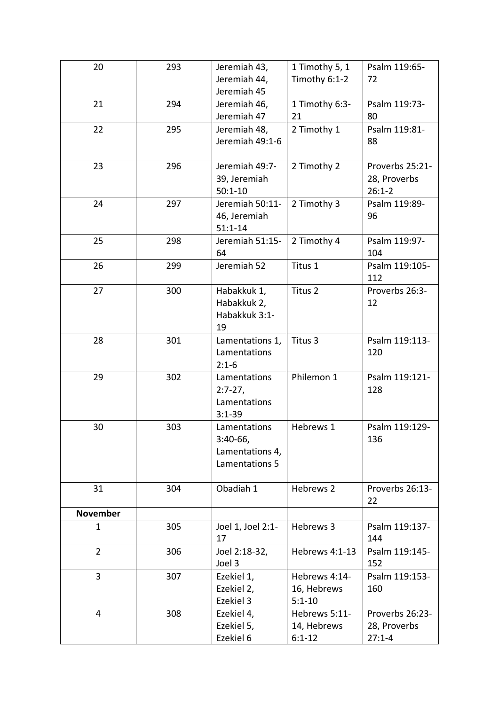| 20              | 293 | Jeremiah 43,<br>Jeremiah 44, | 1 Timothy 5, 1<br>Timothy 6:1-2 | Psalm 119:65-<br>72   |
|-----------------|-----|------------------------------|---------------------------------|-----------------------|
|                 |     | Jeremiah 45                  |                                 |                       |
| 21              | 294 | Jeremiah 46,                 | 1 Timothy 6:3-                  | Psalm 119:73-         |
|                 |     | Jeremiah 47                  | 21                              | 80                    |
| 22              | 295 | Jeremiah 48,                 | 2 Timothy 1                     | Psalm 119:81-         |
|                 |     | Jeremiah 49:1-6              |                                 | 88                    |
| 23              | 296 | Jeremiah 49:7-               | 2 Timothy 2                     | Proverbs 25:21-       |
|                 |     | 39, Jeremiah                 |                                 | 28, Proverbs          |
|                 |     | $50:1 - 10$                  |                                 | $26:1 - 2$            |
| 24              | 297 | Jeremiah 50:11-              | 2 Timothy 3                     | Psalm 119:89-         |
|                 |     | 46, Jeremiah                 |                                 | 96                    |
|                 |     | $51:1 - 14$                  |                                 |                       |
| 25              | 298 | Jeremiah 51:15-              | 2 Timothy 4                     | Psalm 119:97-         |
|                 |     | 64                           |                                 | 104                   |
| 26              | 299 | Jeremiah 52                  | Titus 1                         | Psalm 119:105-<br>112 |
| 27              | 300 | Habakkuk 1,                  | Titus 2                         | Proverbs 26:3-        |
|                 |     | Habakkuk 2,                  |                                 | 12                    |
|                 |     | Habakkuk 3:1-                |                                 |                       |
|                 |     | 19                           |                                 |                       |
| 28              | 301 | Lamentations 1,              | Titus 3                         | Psalm 119:113-        |
|                 |     | Lamentations                 |                                 | 120                   |
|                 |     | $2:1-6$                      |                                 |                       |
| 29              | 302 | Lamentations                 | Philemon 1                      | Psalm 119:121-        |
|                 |     | $2:7-27,$<br>Lamentations    |                                 | 128                   |
|                 |     | $3:1 - 39$                   |                                 |                       |
| 30              | 303 | Lamentations                 | Hebrews 1                       | Psalm 119:129-        |
|                 |     | $3:40-66,$                   |                                 | 136                   |
|                 |     | Lamentations 4,              |                                 |                       |
|                 |     | Lamentations 5               |                                 |                       |
|                 |     |                              |                                 |                       |
| 31              | 304 | Obadiah 1                    | Hebrews 2                       | Proverbs 26:13-       |
|                 |     |                              |                                 | 22                    |
| <b>November</b> |     |                              |                                 |                       |
| $\mathbf{1}$    | 305 | Joel 1, Joel 2:1-            | Hebrews 3                       | Psalm 119:137-        |
|                 |     | 17                           |                                 | 144                   |
| $\overline{2}$  | 306 | Joel 2:18-32,<br>Joel 3      | Hebrews 4:1-13                  | Psalm 119:145-<br>152 |
| 3               | 307 | Ezekiel 1,                   | Hebrews 4:14-                   | Psalm 119:153-        |
|                 |     | Ezekiel 2,                   | 16, Hebrews                     | 160                   |
|                 |     | Ezekiel 3                    | $5:1 - 10$                      |                       |
| $\overline{4}$  | 308 | Ezekiel 4,                   | Hebrews 5:11-                   | Proverbs 26:23-       |
|                 |     | Ezekiel 5,                   | 14, Hebrews                     | 28, Proverbs          |
|                 |     | Ezekiel 6                    | $6:1 - 12$                      | $27:1 - 4$            |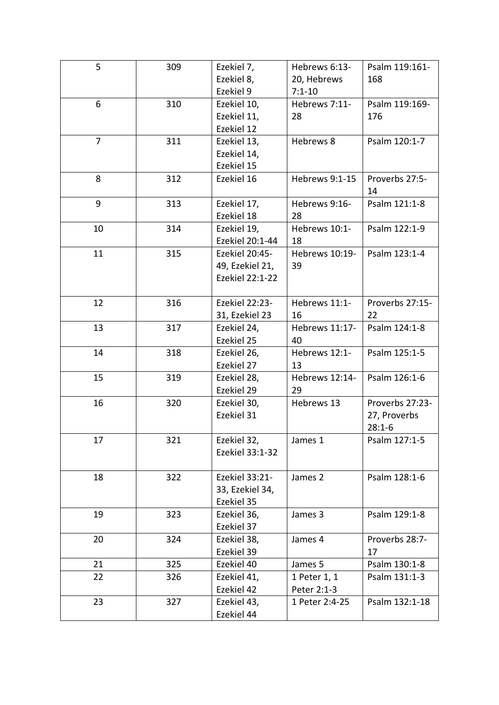| 5              | 309 | Ezekiel 7,            | Hebrews 6:13-  | Psalm 119:161-  |
|----------------|-----|-----------------------|----------------|-----------------|
|                |     | Ezekiel 8,            | 20, Hebrews    | 168             |
|                |     | Ezekiel 9             | $7:1 - 10$     |                 |
| 6              | 310 | Ezekiel 10,           | Hebrews 7:11-  | Psalm 119:169-  |
|                |     | Ezekiel 11,           | 28             | 176             |
|                |     | Ezekiel 12            |                |                 |
| $\overline{7}$ | 311 | Ezekiel 13,           | Hebrews 8      | Psalm 120:1-7   |
|                |     | Ezekiel 14,           |                |                 |
|                |     | Ezekiel 15            |                |                 |
| 8              | 312 | Ezekiel 16            | Hebrews 9:1-15 | Proverbs 27:5-  |
|                |     |                       |                | 14              |
| 9              | 313 | Ezekiel 17,           | Hebrews 9:16-  | Psalm 121:1-8   |
|                |     | Ezekiel 18            | 28             |                 |
| 10             | 314 | Ezekiel 19,           | Hebrews 10:1-  | Psalm 122:1-9   |
|                |     | Ezekiel 20:1-44       | 18             |                 |
| 11             | 315 | Ezekiel 20:45-        | Hebrews 10:19- | Psalm 123:1-4   |
|                |     | 49, Ezekiel 21,       | 39             |                 |
|                |     | Ezekiel 22:1-22       |                |                 |
|                |     |                       |                |                 |
| 12             | 316 | <b>Ezekiel 22:23-</b> | Hebrews 11:1-  | Proverbs 27:15- |
|                |     | 31, Ezekiel 23        | 16             | 22              |
| 13             | 317 | Ezekiel 24,           | Hebrews 11:17- | Psalm 124:1-8   |
|                |     | Ezekiel 25            | 40             |                 |
| 14             | 318 | Ezekiel 26,           | Hebrews 12:1-  | Psalm 125:1-5   |
|                |     | Ezekiel 27            | 13             |                 |
| 15             | 319 | Ezekiel 28,           | Hebrews 12:14- | Psalm 126:1-6   |
|                |     | Ezekiel 29            | 29             |                 |
| 16             | 320 | Ezekiel 30,           | Hebrews 13     | Proverbs 27:23- |
|                |     | Ezekiel 31            |                | 27, Proverbs    |
|                |     |                       |                | $28:1-6$        |
| 17             | 321 | Ezekiel 32,           | James 1        | Psalm 127:1-5   |
|                |     | Ezekiel 33:1-32       |                |                 |
|                |     |                       |                |                 |
| 18             | 322 | Ezekiel 33:21-        | James 2        | Psalm 128:1-6   |
|                |     | 33, Ezekiel 34,       |                |                 |
|                |     | Ezekiel 35            |                |                 |
| 19             | 323 | Ezekiel 36,           | James 3        | Psalm 129:1-8   |
|                |     | Ezekiel 37            |                |                 |
| 20             | 324 | Ezekiel 38,           | James 4        | Proverbs 28:7-  |
|                |     | Ezekiel 39            |                | 17              |
| 21             | 325 | Ezekiel 40            | James 5        | Psalm 130:1-8   |
| 22             | 326 | Ezekiel 41,           | 1 Peter 1, 1   | Psalm 131:1-3   |
|                |     | Ezekiel 42            | Peter 2:1-3    |                 |
| 23             | 327 | Ezekiel 43,           | 1 Peter 2:4-25 | Psalm 132:1-18  |
|                |     | Ezekiel 44            |                |                 |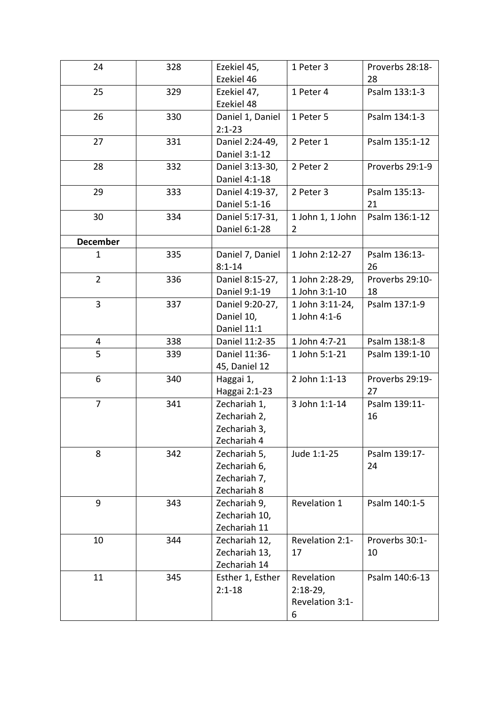| 24              | 328 | Ezekiel 45,                                                 | 1 Peter 3                                        | Proverbs 28:18-       |
|-----------------|-----|-------------------------------------------------------------|--------------------------------------------------|-----------------------|
|                 |     | Ezekiel 46                                                  |                                                  | 28                    |
| 25              | 329 | Ezekiel 47,<br>Ezekiel 48                                   | 1 Peter 4                                        | Psalm 133:1-3         |
| 26              | 330 | Daniel 1, Daniel<br>$2:1 - 23$                              | 1 Peter 5                                        | Psalm 134:1-3         |
| 27              | 331 | Daniel 2:24-49,<br>Daniel 3:1-12                            | 2 Peter 1                                        | Psalm 135:1-12        |
| 28              | 332 | Daniel 3:13-30,<br>Daniel 4:1-18                            | 2 Peter 2                                        | Proverbs 29:1-9       |
| 29              | 333 | Daniel 4:19-37,<br>Daniel 5:1-16                            | 2 Peter 3                                        | Psalm 135:13-<br>21   |
| 30              | 334 | Daniel 5:17-31,<br>Daniel 6:1-28                            | 1 John 1, 1 John<br>$\overline{2}$               | Psalm 136:1-12        |
| <b>December</b> |     |                                                             |                                                  |                       |
| $\mathbf{1}$    | 335 | Daniel 7, Daniel<br>$8:1 - 14$                              | 1 John 2:12-27                                   | Psalm 136:13-<br>26   |
| $\overline{2}$  | 336 | Daniel 8:15-27,<br>Daniel 9:1-19                            | 1 John 2:28-29,<br>1 John 3:1-10                 | Proverbs 29:10-<br>18 |
| 3               | 337 | Daniel 9:20-27,<br>Daniel 10,<br>Daniel 11:1                | 1 John 3:11-24,<br>1 John 4:1-6                  | Psalm 137:1-9         |
| 4               | 338 | Daniel 11:2-35                                              | 1 John 4:7-21                                    | Psalm 138:1-8         |
| 5               | 339 | Daniel 11:36-<br>45, Daniel 12                              | 1 John 5:1-21                                    | Psalm 139:1-10        |
| 6               | 340 | Haggai 1,<br>Haggai 2:1-23                                  | 2 John 1:1-13                                    | Proverbs 29:19-<br>27 |
| 7               | 341 | Zechariah 1,<br>Zechariah 2,<br>Zechariah 3,<br>Zechariah 4 | 3 John 1:1-14                                    | Psalm 139:11-<br>16   |
| 8               | 342 | Zechariah 5,<br>Zechariah 6,<br>Zechariah 7,<br>Zechariah 8 | Jude 1:1-25                                      | Psalm 139:17-<br>24   |
| 9               | 343 | Zechariah 9,<br>Zechariah 10,<br>Zechariah 11               | Revelation 1                                     | Psalm 140:1-5         |
| 10              | 344 | Zechariah 12,<br>Zechariah 13,<br>Zechariah 14              | Revelation 2:1-<br>17                            | Proverbs 30:1-<br>10  |
| 11              | 345 | Esther 1, Esther<br>$2:1 - 18$                              | Revelation<br>$2:18-29,$<br>Revelation 3:1-<br>6 | Psalm 140:6-13        |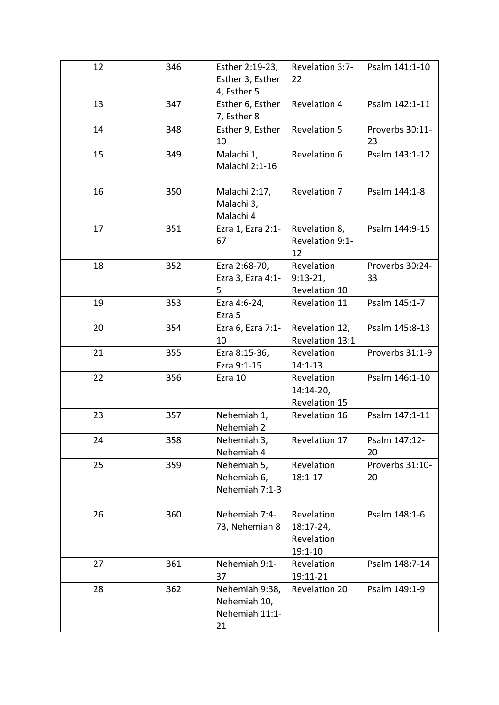| 12 | 346 | Esther 2:19-23,<br>Esther 3, Esther<br>4, Esther 5     | Revelation 3:7-<br>22                                  | Psalm 141:1-10        |
|----|-----|--------------------------------------------------------|--------------------------------------------------------|-----------------------|
| 13 | 347 | Esther 6, Esther<br>7, Esther 8                        | Revelation 4                                           | Psalm 142:1-11        |
| 14 | 348 | Esther 9, Esther<br>10                                 | <b>Revelation 5</b>                                    | Proverbs 30:11-<br>23 |
| 15 | 349 | Malachi 1,<br>Malachi 2:1-16                           | Revelation 6                                           | Psalm 143:1-12        |
| 16 | 350 | Malachi 2:17,<br>Malachi 3,<br>Malachi 4               | Revelation 7                                           | Psalm 144:1-8         |
| 17 | 351 | Ezra 1, Ezra 2:1-<br>67                                | Revelation 8,<br>Revelation 9:1-<br>12                 | Psalm 144:9-15        |
| 18 | 352 | Ezra 2:68-70,<br>Ezra 3, Ezra 4:1-<br>5                | Revelation<br>$9:13-21,$<br>Revelation 10              | Proverbs 30:24-<br>33 |
| 19 | 353 | Ezra 4:6-24,<br>Ezra 5                                 | Revelation 11                                          | Psalm 145:1-7         |
| 20 | 354 | Ezra 6, Ezra 7:1-<br>10                                | Revelation 12,<br>Revelation 13:1                      | Psalm 145:8-13        |
| 21 | 355 | Ezra 8:15-36,<br>Ezra 9:1-15                           | Revelation<br>$14:1 - 13$                              | Proverbs 31:1-9       |
| 22 | 356 | Ezra 10                                                | Revelation<br>14:14-20,<br>Revelation 15               | Psalm 146:1-10        |
| 23 | 357 | Nehemiah 1,<br>Nehemiah 2                              | Revelation 16                                          | Psalm 147:1-11        |
| 24 | 358 | Nehemiah 3,<br>Nehemiah 4                              | Revelation 17                                          | Psalm 147:12-<br>20   |
| 25 | 359 | Nehemiah 5,<br>Nehemiah 6,<br>Nehemiah 7:1-3           | Revelation<br>$18:1 - 17$                              | Proverbs 31:10-<br>20 |
| 26 | 360 | Nehemiah 7:4-<br>73, Nehemiah 8                        | Revelation<br>$18:17-24,$<br>Revelation<br>$19:1 - 10$ | Psalm 148:1-6         |
| 27 | 361 | Nehemiah 9:1-<br>37                                    | Revelation<br>19:11-21                                 | Psalm 148:7-14        |
| 28 | 362 | Nehemiah 9:38,<br>Nehemiah 10,<br>Nehemiah 11:1-<br>21 | <b>Revelation 20</b>                                   | Psalm 149:1-9         |